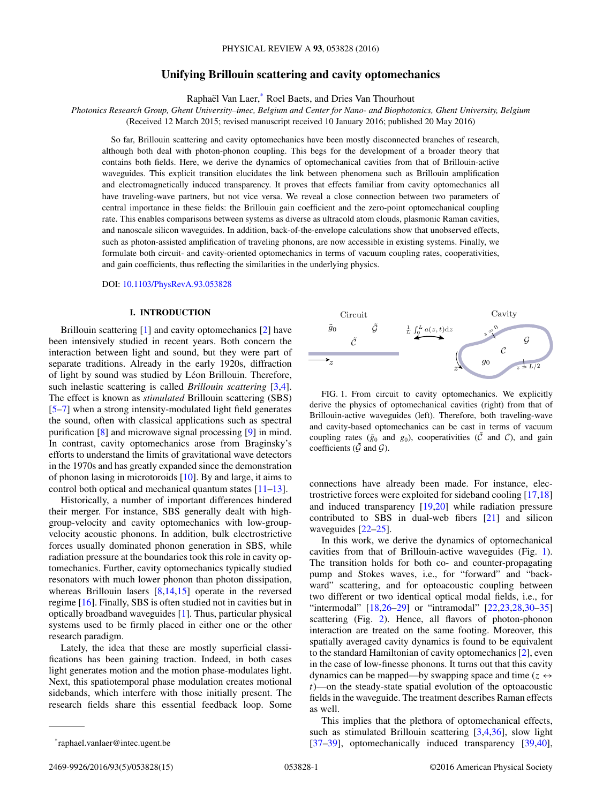# **Unifying Brillouin scattering and cavity optomechanics**

Raphaël Van Laer,<sup>\*</sup> Roel Baets, and Dries Van Thourhout

<span id="page-0-0"></span>*Photonics Research Group, Ghent University–imec, Belgium and Center for Nano- and Biophotonics, Ghent University, Belgium* (Received 12 March 2015; revised manuscript received 10 January 2016; published 20 May 2016)

So far, Brillouin scattering and cavity optomechanics have been mostly disconnected branches of research, although both deal with photon-phonon coupling. This begs for the development of a broader theory that contains both fields. Here, we derive the dynamics of optomechanical cavities from that of Brillouin-active waveguides. This explicit transition elucidates the link between phenomena such as Brillouin amplification and electromagnetically induced transparency. It proves that effects familiar from cavity optomechanics all have traveling-wave partners, but not vice versa. We reveal a close connection between two parameters of central importance in these fields: the Brillouin gain coefficient and the zero-point optomechanical coupling rate. This enables comparisons between systems as diverse as ultracold atom clouds, plasmonic Raman cavities, and nanoscale silicon waveguides. In addition, back-of-the-envelope calculations show that unobserved effects, such as photon-assisted amplification of traveling phonons, are now accessible in existing systems. Finally, we formulate both circuit- and cavity-oriented optomechanics in terms of vacuum coupling rates, cooperativities, and gain coefficients, thus reflecting the similarities in the underlying physics.

DOI: [10.1103/PhysRevA.93.053828](http://dx.doi.org/10.1103/PhysRevA.93.053828)

### **I. INTRODUCTION**

Brillouin scattering [\[1\]](#page-12-0) and cavity optomechanics [\[2\]](#page-12-0) have been intensively studied in recent years. Both concern the interaction between light and sound, but they were part of separate traditions. Already in the early 1920s, diffraction of light by sound was studied by Léon Brillouin. Therefore, such inelastic scattering is called *Brillouin scattering* [\[3,4\]](#page-12-0). The effect is known as *stimulated* Brillouin scattering (SBS) [\[5–7\]](#page-12-0) when a strong intensity-modulated light field generates the sound, often with classical applications such as spectral purification [\[8\]](#page-12-0) and microwave signal processing [\[9\]](#page-12-0) in mind. In contrast, cavity optomechanics arose from Braginsky's efforts to understand the limits of gravitational wave detectors in the 1970s and has greatly expanded since the demonstration of phonon lasing in microtoroids [\[10\]](#page-12-0). By and large, it aims to control both optical and mechanical quantum states [\[11–13\]](#page-12-0).

Historically, a number of important differences hindered their merger. For instance, SBS generally dealt with highgroup-velocity and cavity optomechanics with low-groupvelocity acoustic phonons. In addition, bulk electrostrictive forces usually dominated phonon generation in SBS, while radiation pressure at the boundaries took this role in cavity optomechanics. Further, cavity optomechanics typically studied resonators with much lower phonon than photon dissipation, whereas Brillouin lasers [\[8,14,15\]](#page-12-0) operate in the reversed regime [\[16\]](#page-12-0). Finally, SBS is often studied not in cavities but in optically broadband waveguides [\[1\]](#page-12-0). Thus, particular physical systems used to be firmly placed in either one or the other research paradigm.

Lately, the idea that these are mostly superficial classifications has been gaining traction. Indeed, in both cases light generates motion and the motion phase-modulates light. Next, this spatiotemporal phase modulation creates motional sidebands, which interfere with those initially present. The research fields share this essential feedback loop. Some



FIG. 1. From circuit to cavity optomechanics. We explicitly derive the physics of optomechanical cavities (right) from that of Brillouin-active waveguides (left). Therefore, both traveling-wave and cavity-based optomechanics can be cast in terms of vacuum coupling rates ( $\tilde{g}_0$  and  $g_0$ ), cooperativities ( $\tilde{C}$  and  $C$ ), and gain coefficients ( $\tilde{\mathcal{G}}$  and  $\mathcal{G}$ ).

connections have already been made. For instance, electrostrictive forces were exploited for sideband cooling [\[17,18\]](#page-12-0) and induced transparency [\[19,20\]](#page-12-0) while radiation pressure contributed to SBS in dual-web fibers [\[21\]](#page-12-0) and silicon waveguides [\[22–25\]](#page-12-0).

In this work, we derive the dynamics of optomechanical cavities from that of Brillouin-active waveguides (Fig. 1). The transition holds for both co- and counter-propagating pump and Stokes waves, i.e., for "forward" and "backward" scattering, and for optoacoustic coupling between two different or two identical optical modal fields, i.e., for "intermodal" [18,26-29] or "intramodal" [22,23,28,30-35] scattering (Fig. [2\)](#page-1-0). Hence, all flavors of photon-phonon interaction are treated on the same footing. Moreover, this spatially averaged cavity dynamics is found to be equivalent to the standard Hamiltonian of cavity optomechanics [\[2\]](#page-12-0), even in the case of low-finesse phonons. It turns out that this cavity dynamics can be mapped—by swapping space and time ( $z \leftrightarrow$ *t*)—on the steady-state spatial evolution of the optoacoustic fields in the waveguide. The treatment describes Raman effects as well.

This implies that the plethora of optomechanical effects, such as stimulated Brillouin scattering [\[3,4,36\]](#page-12-0), slow light [\[37–39\]](#page-13-0), optomechanically induced transparency [\[39,40\]](#page-13-0),

<sup>\*</sup>raphael.vanlaer@intec.ugent.be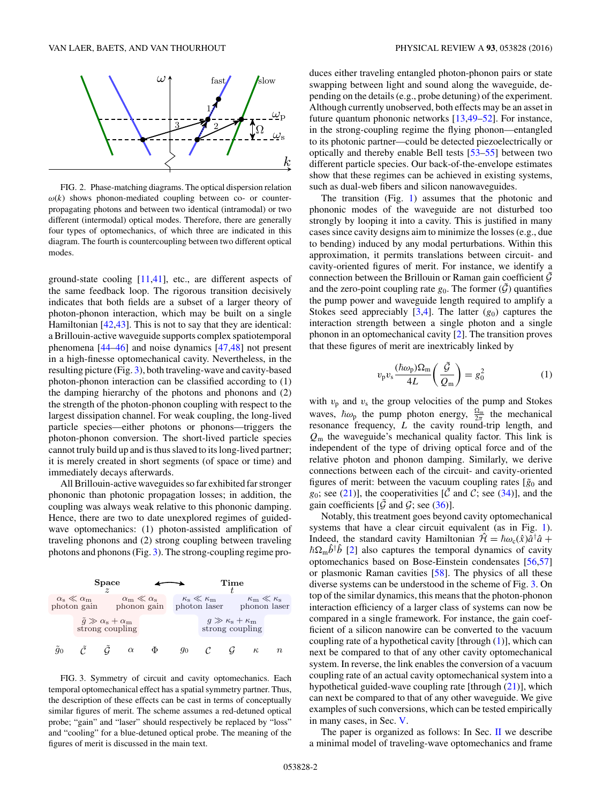<span id="page-1-0"></span>

FIG. 2. Phase-matching diagrams. The optical dispersion relation  $\omega(k)$  shows phonon-mediated coupling between co- or counterpropagating photons and between two identical (intramodal) or two different (intermodal) optical modes. Therefore, there are generally four types of optomechanics, of which three are indicated in this diagram. The fourth is countercoupling between two different optical modes.

ground-state cooling [\[11,](#page-12-0)[41\]](#page-13-0), etc., are different aspects of the same feedback loop. The rigorous transition decisively indicates that both fields are a subset of a larger theory of photon-phonon interaction, which may be built on a single Hamiltonian [\[42,43\]](#page-13-0). This is not to say that they are identical: a Brillouin-active waveguide supports complex spatiotemporal phenomena [\[44–46\]](#page-13-0) and noise dynamics [\[47,48\]](#page-13-0) not present in a high-finesse optomechanical cavity. Nevertheless, in the resulting picture (Fig. 3), both traveling-wave and cavity-based photon-phonon interaction can be classified according to (1) the damping hierarchy of the photons and phonons and  $(2)$ the strength of the photon-phonon coupling with respect to the largest dissipation channel. For weak coupling, the long-lived particle species—either photons or phonons—triggers the photon-phonon conversion. The short-lived particle species cannot truly build up and is thus slaved to its long-lived partner; it is merely created in short segments (of space or time) and immediately decays afterwards.

All Brillouin-active waveguides so far exhibited far stronger phononic than photonic propagation losses; in addition, the coupling was always weak relative to this phononic damping. Hence, there are two to date unexplored regimes of guidedwave optomechanics: (1) photon-assisted amplification of traveling phonons and (2) strong coupling between traveling photons and phonons (Fig. 3). The strong-coupling regime pro-



FIG. 3. Symmetry of circuit and cavity optomechanics. Each temporal optomechanical effect has a spatial symmetry partner. Thus, the description of these effects can be cast in terms of conceptually similar figures of merit. The scheme assumes a red-detuned optical probe; "gain" and "laser" should respectively be replaced by "loss" and "cooling" for a blue-detuned optical probe. The meaning of the figures of merit is discussed in the main text.

duces either traveling entangled photon-phonon pairs or state swapping between light and sound along the waveguide, depending on the details (e.g., probe detuning) of the experiment. Although currently unobserved, both effects may be an asset in future quantum phononic networks [\[13,](#page-12-0)[49–52\]](#page-13-0). For instance, in the strong-coupling regime the flying phonon—entangled to its photonic partner—could be detected piezoelectrically or optically and thereby enable Bell tests [\[53–55\]](#page-13-0) between two different particle species. Our back-of-the-envelope estimates show that these regimes can be achieved in existing systems, such as dual-web fibers and silicon nanowaveguides.

The transition (Fig. [1\)](#page-0-0) assumes that the photonic and phononic modes of the waveguide are not disturbed too strongly by looping it into a cavity. This is justified in many cases since cavity designs aim to minimize the losses (e.g., due to bending) induced by any modal perturbations. Within this approximation, it permits translations between circuit- and cavity-oriented figures of merit. For instance, we identify a connection between the Brillouin or Raman gain coefficient  $\mathcal G$ and the zero-point coupling rate  $g_0$ . The former  $(\tilde{\mathcal{G}})$  quantifies the pump power and waveguide length required to amplify a Stokes seed appreciably  $[3,4]$ . The latter  $(g_0)$  captures the interaction strength between a single photon and a single phonon in an optomechanical cavity [\[2\]](#page-12-0). The transition proves that these figures of merit are inextricably linked by

$$
v_{\rm p}v_{\rm s}\frac{(\hbar\omega_{\rm p})\Omega_{\rm m}}{4L}\left(\frac{\tilde{\mathcal{G}}}{Q_{\rm m}}\right) = g_0^2\tag{1}
$$

with  $v_p$  and  $v_s$  the group velocities of the pump and Stokes waves,  $\hbar \omega_p$  the pump photon energy,  $\frac{\Omega_m}{2\pi}$  the mechanical resonance frequency, *L* the cavity round-trip length, and *Q*<sup>m</sup> the waveguide's mechanical quality factor. This link is independent of the type of driving optical force and of the relative photon and phonon damping. Similarly, we derive connections between each of the circuit- and cavity-oriented figures of merit: between the vacuum coupling rates  $[\tilde{g}_0]$  and  $g_0$ ; see [\(21\)](#page-4-0)], the cooperativities [ $\tilde{C}$  and C; see [\(34\)](#page-6-0)], and the gain coefficients  $[\mathcal{G}]$  and  $\mathcal{G}$ ; see [\(36\)](#page-6-0)].

Notably, this treatment goes beyond cavity optomechanical systems that have a clear circuit equivalent (as in Fig. [1\)](#page-0-0). Indeed, the standard cavity Hamiltonian  $\hat{\mathcal{H}} = \hbar \omega_c(\hat{x}) \hat{a}^\dagger \hat{a} +$  $\hbar\Omega_m\hat{b}^\dagger\hat{b}$  [\[2\]](#page-12-0) also captures the temporal dynamics of cavity optomechanics based on Bose-Einstein condensates [\[56,57\]](#page-13-0) or plasmonic Raman cavities [\[58\]](#page-13-0). The physics of all these diverse systems can be understood in the scheme of Fig. 3. On top of the similar dynamics, this means that the photon-phonon interaction efficiency of a larger class of systems can now be compared in a single framework. For instance, the gain coefficient of a silicon nanowire can be converted to the vacuum coupling rate of a hypothetical cavity [through (1)], which can next be compared to that of any other cavity optomechanical system. In reverse, the link enables the conversion of a vacuum coupling rate of an actual cavity optomechanical system into a hypothetical guided-wave coupling rate [through  $(21)$ ], which can next be compared to that of any other waveguide. We give examples of such conversions, which can be tested empirically in many cases, in Sec. [V.](#page-7-0)

The paper is organized as follows: In Sec.  $\mathbf{I}$  we describe a minimal model of traveling-wave optomechanics and frame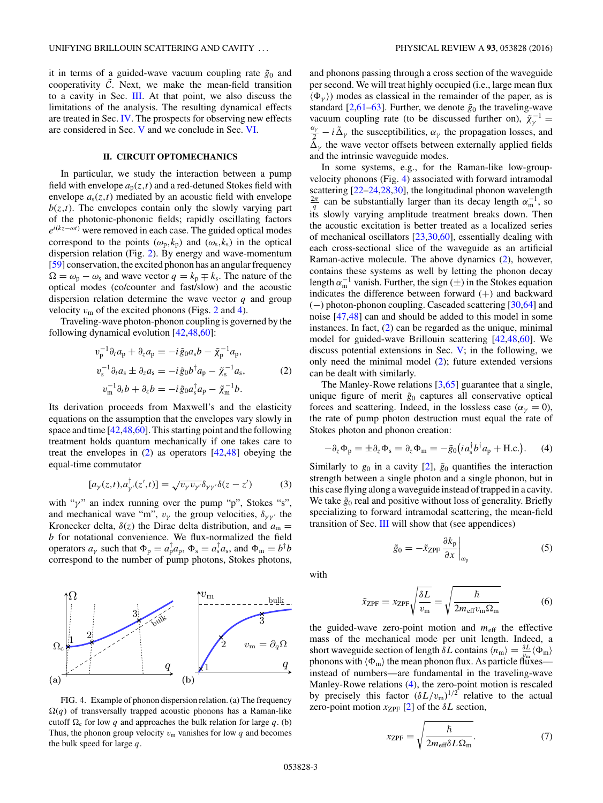<span id="page-2-0"></span>it in terms of a guided-wave vacuum coupling rate  $\tilde{g}_0$  and cooperativity  $\tilde{C}$ . Next, we make the mean-field transition to a cavity in Sec. [III.](#page-3-0) At that point, we also discuss the limitations of the analysis. The resulting dynamical effects are treated in Sec. [IV.](#page-5-0) The prospects for observing new effects are considered in Sec. [V](#page-7-0) and we conclude in Sec. [VI.](#page-8-0)

### **II. CIRCUIT OPTOMECHANICS**

In particular, we study the interaction between a pump field with envelope  $a_p(z,t)$  and a red-detuned Stokes field with envelope  $a_s(z,t)$  mediated by an acoustic field with envelope  $b(z,t)$ . The envelopes contain only the slowly varying part of the photonic-phononic fields; rapidly oscillating factors *e*<sup>*i*(*kz*−*ωt*)</sup> were removed in each case. The guided optical modes correspond to the points  $(\omega_p, k_p)$  and  $(\omega_s, k_s)$  in the optical dispersion relation (Fig. [2\)](#page-1-0). By energy and wave-momentum [\[59\]](#page-13-0) conservation, the excited phonon has an angular frequency  $\Omega = \omega_{\rm p} - \omega_{\rm s}$  and wave vector  $q = k_{\rm p} \mp k_{\rm s}$ . The nature of the optical modes (co/counter and fast/slow) and the acoustic dispersion relation determine the wave vector *q* and group velocity  $v_m$  of the excited phonons (Figs. [2](#page-1-0) and 4).

Traveling-wave photon-phonon coupling is governed by the following dynamical evolution [\[42,48,60\]](#page-13-0):

$$
v_{\rm p}^{-1} \partial_t a_{\rm p} + \partial_z a_{\rm p} = -i \tilde{g}_0 a_s b - \tilde{\chi}_{\rm p}^{-1} a_{\rm p},
$$
  
\n
$$
v_{\rm s}^{-1} \partial_t a_s \pm \partial_z a_s = -i \tilde{g}_0 b^{\dagger} a_{\rm p} - \tilde{\chi}_{\rm s}^{-1} a_s,
$$
  
\n
$$
v_{\rm m}^{-1} \partial_t b + \partial_z b = -i \tilde{g}_0 a_s^{\dagger} a_{\rm p} - \tilde{\chi}_{\rm m}^{-1} b.
$$
\n(2)

Its derivation proceeds from Maxwell's and the elasticity equations on the assumption that the envelopes vary slowly in space and time [\[42,48,60\]](#page-13-0). This starting point and the following treatment holds quantum mechanically if one takes care to treat the envelopes in  $(2)$  as operators  $[42,48]$  obeying the equal-time commutator

$$
[a_{\gamma}(z,t), a_{\gamma'}^{\dagger}(z',t)] = \sqrt{\nu_{\gamma}\nu_{\gamma'}}\delta_{\gamma\gamma'}\delta(z-z')
$$
 (3)

with "γ" an index running over the pump "p", Stokes "s", and mechanical wave "m",  $v_{\gamma}$  the group velocities,  $\delta_{\gamma\gamma'}$  the Kronecker delta,  $\delta(z)$  the Dirac delta distribution, and  $a_m =$ *b* for notational convenience. We flux-normalized the field operators  $a_{\gamma}$  such that  $\Phi_{\rm p} = a_{\rm p}^{\dagger} a_{\rm p}$ ,  $\Phi_{\rm s} = a_{\rm s}^{\dagger} a_{\rm s}$ , and  $\Phi_{\rm m} = b^{\dagger} b$ correspond to the number of pump photons, Stokes photons,



FIG. 4. Example of phonon dispersion relation. (a) The frequency  $\Omega(q)$  of transversally trapped acoustic phonons has a Raman-like cutoff  $\Omega_c$  for low *q* and approaches the bulk relation for large *q*. (b) Thus, the phonon group velocity  $v_m$  vanishes for low q and becomes the bulk speed for large *q*.

and phonons passing through a cross section of the waveguide per second. We will treat highly occupied (i.e., large mean flux  $\langle \Phi_{\nu} \rangle$  modes as classical in the remainder of the paper, as is standard [\[2,](#page-12-0)[61–63\]](#page-13-0). Further, we denote  $\tilde{g}_0$  the traveling-wave vacuum coupling rate (to be discussed further on),  $\tilde{\chi}^{-1} = q_y$  = *i*,  $\tilde{\lambda}$  the averagetialities  $q_y$  the proposation losses and  $\frac{\alpha_{\gamma}}{2} - i \tilde{\Delta}_{\gamma}$  the susceptibilities,  $\alpha_{\gamma}$  the propagation losses, and

 $\tilde{\Delta}_{\nu}$  the wave vector offsets between externally applied fields

and the intrinsic waveguide modes. In some systems, e.g., for the Raman-like low-groupvelocity phonons (Fig. 4) associated with forward intramodal scattering [\[22–24,28,30\]](#page-12-0), the longitudinal phonon wavelength  $\frac{2\pi}{q}$  can be substantially larger than its decay length  $\alpha_{\rm m}^{-1}$ , so its slowly varying amplitude treatment breaks down. Then the acoustic excitation is better treated as a localized series of mechanical oscillators [\[23,30,](#page-12-0)[60\]](#page-13-0), essentially dealing with each cross-sectional slice of the waveguide as an artificial Raman-active molecule. The above dynamics (2), however, contains these systems as well by letting the phonon decay length  $\alpha_{\rm m}^{-1}$  vanish. Further, the sign ( $\pm$ ) in the Stokes equation indicates the difference between forward (+) and backward (−) photon-phonon coupling. Cascaded scattering [\[30,](#page-12-0)[64\]](#page-13-0) and noise [\[47,48\]](#page-13-0) can and should be added to this model in some instances. In fact, (2) can be regarded as the unique, minimal model for guided-wave Brillouin scattering [\[42,48,60\]](#page-13-0). We discuss potential extensions in Sec. [V;](#page-7-0) in the following, we only need the minimal model (2); future extended versions can be dealt with similarly.

The Manley-Rowe relations [\[3,](#page-12-0)[65\]](#page-13-0) guarantee that a single, unique figure of merit  $\tilde{g}_0$  captures all conservative optical forces and scattering. Indeed, in the lossless case ( $\alpha_{\gamma} = 0$ ), the rate of pump photon destruction must equal the rate of Stokes photon and phonon creation:

$$
-\partial_z \Phi_p = \pm \partial_z \Phi_s = \partial_z \Phi_m = -\tilde{g}_0 (i a_s^{\dagger} b^{\dagger} a_p + \text{H.c.}). \tag{4}
$$

Similarly to  $g_0$  in a cavity [\[2\]](#page-12-0),  $\tilde{g}_0$  quantifies the interaction strength between a single photon and a single phonon, but in this case flying along a waveguide instead of trapped in a cavity. We take  $\tilde{g}_0$  real and positive without loss of generality. Briefly specializing to forward intramodal scattering, the mean-field transition of Sec.  $III$  will show that (see appendices)

$$
\tilde{g}_0 = -\tilde{x}_{\text{ZPF}} \frac{\partial k_{\text{p}}}{\partial x} \bigg|_{\omega_{\text{p}}} \tag{5}
$$

with

$$
\tilde{x}_{\text{ZPF}} = x_{\text{ZPF}} \sqrt{\frac{\delta L}{v_{\text{m}}}} = \sqrt{\frac{\hbar}{2m_{\text{eff}}v_{\text{m}}\Omega_{\text{m}}}}
$$
(6)

the guided-wave zero-point motion and  $m_{\text{eff}}$  the effective mass of the mechanical mode per unit length. Indeed, a short waveguide section of length  $\delta L$  contains  $\langle n_{\rm m} \rangle = \frac{\delta L}{v_{\rm m}} \langle \Phi_{\rm m} \rangle$ phonons with  $\langle \Phi_{m} \rangle$  the mean phonon flux. As particle fluxes instead of numbers—are fundamental in the traveling-wave Manley-Rowe relations (4), the zero-point motion is rescaled by precisely this factor  $(\delta L/v_{\rm m})^{1/2}$  relative to the actual zero-point motion  $x_{ZPF}$  [\[2\]](#page-12-0) of the  $\delta L$  section,

$$
x_{\rm ZPF} = \sqrt{\frac{\hbar}{2m_{\rm eff}\delta L\Omega_{\rm m}}}.\tag{7}
$$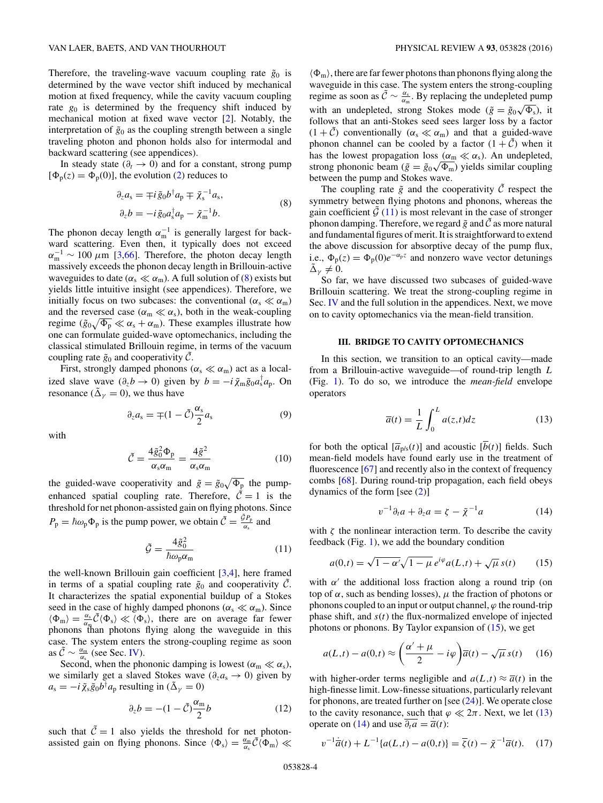<span id="page-3-0"></span>Therefore, the traveling-wave vacuum coupling rate  $\tilde{g}_0$  is determined by the wave vector shift induced by mechanical motion at fixed frequency, while the cavity vacuum coupling rate  $g_0$  is determined by the frequency shift induced by mechanical motion at fixed wave vector [\[2\]](#page-12-0). Notably, the interpretation of  $\tilde{g}_0$  as the coupling strength between a single traveling photon and phonon holds also for intermodal and backward scattering (see appendices).

In steady state ( $\partial_t \to 0$ ) and for a constant, strong pump  $[\Phi_{p}(z) = \Phi_{p}(0)]$ , the evolution [\(2\)](#page-2-0) reduces to

$$
\partial_z a_s = \mp i \tilde{g}_0 b^\dagger a_p \mp \tilde{\chi}_s^{-1} a_s,
$$
  
\n
$$
\partial_z b = -i \tilde{g}_0 a_s^\dagger a_p - \tilde{\chi}_m^{-1} b.
$$
\n(8)

The phonon decay length  $\alpha_{\rm m}^{-1}$  is generally largest for backward scattering. Even then, it typically does not exceed  $\alpha_{\rm m}^{-1} \sim 100 \ \mu \rm m$  [\[3](#page-12-0)[,66\]](#page-13-0). Therefore, the photon decay length massively exceeds the phonon decay length in Brillouin-active waveguides to date ( $\alpha_s \ll \alpha_m$ ). A full solution of (8) exists but yields little intuitive insight (see appendices). Therefore, we initially focus on two subcases: the conventional  $(\alpha_s \ll \alpha_m)$ and the reversed case ( $\alpha_m \ll \alpha_s$ ), both in the weak-coupling regime  $(\tilde{g}_0\sqrt{\Phi_{\rm p}}\ll \alpha_{\rm s}+\alpha_{\rm m})$ . These examples illustrate how one can formulate guided-wave optomechanics, including the classical stimulated Brillouin regime, in terms of the vacuum coupling rate  $\tilde{g}_0$  and cooperativity C.

First, strongly damped phonons ( $\alpha_s \ll \alpha_m$ ) act as a localized slave wave  $(\partial_z b \to 0)$  given by  $b = -i \tilde{\chi}_m \tilde{g}_0 a_s^{\dagger} a_p$ . On resonance ( $\tilde{\Delta}_{\nu} = 0$ ), we thus have

$$
\partial_z a_s = \mp (1 - \tilde{C}) \frac{\alpha_s}{2} a_s \tag{9}
$$

with

$$
\tilde{C} = \frac{4\tilde{g}_0^2 \Phi_p}{\alpha_s \alpha_m} = \frac{4\tilde{g}^2}{\alpha_s \alpha_m} \tag{10}
$$

the guided-wave cooperativity and  $\tilde{g} = \tilde{g}_0 \sqrt{\Phi_p}$  the pumpenhanced spatial coupling rate. Therefore,  $\tilde{C} = 1$  is the threshold for net phonon-assisted gain on flying photons. Since  $P_p = \hbar \omega_p \Phi_p$  is the pump power, we obtain  $\tilde{C} = \frac{\tilde{\sigma} P_p}{\alpha_s}$  and

$$
\tilde{\mathcal{G}} = \frac{4\tilde{g}_0^2}{\hbar \omega_p \alpha_m} \tag{11}
$$

the well-known Brillouin gain coefficient [\[3,4\]](#page-12-0), here framed in terms of a spatial coupling rate  $\tilde{g}_0$  and cooperativity  $\tilde{C}$ . It characterizes the spatial exponential buildup of a Stokes seed in the case of highly damped phonons ( $\alpha_s \ll \alpha_m$ ). Since  $\langle \Phi_{\rm m} \rangle = \frac{\alpha_{\rm s}}{\alpha_{\rm m}} \tilde{C} \langle \Phi_{\rm s} \rangle \ll \langle \Phi_{\rm s} \rangle$ , there are on average far fewer phonons than photons flying along the waveguide in this case. The system enters the strong-coupling regime as soon as  $\tilde{C} \sim \frac{\alpha_m}{\alpha_s}$  (see Sec. [IV\)](#page-5-0).

Second, when the phononic damping is lowest ( $\alpha_{\rm m} \ll \alpha_{\rm s}$ ), we similarly get a slaved Stokes wave (*∂za*<sup>s</sup> → 0) given by  $a_s = -i \tilde{\chi}_s \tilde{g}_0 b^\dagger a_p$  resulting in ( $\tilde{\Delta}_{\gamma} = 0$ )

$$
\partial_z b = -(1 - \tilde{C}) \frac{\alpha_m}{2} b \tag{12}
$$

such that  $\tilde{C} = 1$  also yields the threshold for net photonassisted gain on flying phonons. Since  $\langle \Phi_s \rangle = \frac{\alpha_m}{\alpha_s} \tilde{C} \langle \Phi_m \rangle \ll$   $\langle \Phi_{\rm m} \rangle$ , there are far fewer photons than phonons flying along the waveguide in this case. The system enters the strong-coupling regime as soon as  $\tilde{C} \sim \frac{\alpha_s}{\alpha_m}$ . By replacing the undepleted pump with an undepleted, strong Stokes mode ( $\tilde{g} = \tilde{g}_0 \sqrt{\Phi_s}$ ), it follows that an anti-Stokes seed sees larger loss by a factor  $(1 + \tilde{C})$  conventionally  $(\alpha_s \ll \alpha_m)$  and that a guided-wave phonon channel can be cooled by a factor  $(1 + \tilde{C})$  when it has the lowest propagation loss ( $\alpha_m \ll \alpha_s$ ). An undepleted, nas the lowest propagation loss ( $\alpha_m \ll \alpha_s$ ). An undepleted,<br>strong phononic beam ( $\tilde{g} = \tilde{g}_0 \sqrt{\Phi_m}$ ) yields similar coupling between the pump and Stokes wave.

The coupling rate  $\tilde{g}$  and the cooperativity  $\tilde{C}$  respect the symmetry between flying photons and phonons, whereas the gain coefficient  $\tilde{\mathcal{G}}$  (11) is most relevant in the case of stronger phonon damping. Therefore, we regard  $\tilde{g}$  and  $\tilde{C}$  as more natural and fundamental figures of merit. It is straightforward to extend the above discussion for absorptive decay of the pump flux, i.e.,  $\Phi_p(z) = \Phi_p(0)e^{-\alpha_p z}$  and nonzero wave vector detunings  $\tilde{\Delta}_{\nu} \neq 0.$ 

So far, we have discussed two subcases of guided-wave Brillouin scattering. We treat the strong-coupling regime in Sec. [IV](#page-5-0) and the full solution in the appendices. Next, we move on to cavity optomechanics via the mean-field transition.

#### **III. BRIDGE TO CAVITY OPTOMECHANICS**

In this section, we transition to an optical cavity—made from a Brillouin-active waveguide—of round-trip length *L* (Fig. [1\)](#page-0-0). To do so, we introduce the *mean-field* envelope operators

$$
\overline{a}(t) = \frac{1}{L} \int_0^L a(z, t) dz
$$
 (13)

for both the optical  $[\overline{a}_{p/s}(t)]$  and acoustic  $[\overline{b}(t)]$  fields. Such mean-field models have found early use in the treatment of fluorescence [\[67\]](#page-13-0) and recently also in the context of frequency combs [\[68\]](#page-13-0). During round-trip propagation, each field obeys dynamics of the form [see [\(2\)](#page-2-0)]

$$
v^{-1}\partial_t a + \partial_z a = \zeta - \tilde{\chi}^{-1} a \tag{14}
$$

with  $\zeta$  the nonlinear interaction term. To describe the cavity feedback (Fig. [1\)](#page-0-0), we add the boundary condition

$$
a(0,t) = \sqrt{1 - \alpha'}\sqrt{1 - \mu} e^{i\varphi} a(L,t) + \sqrt{\mu} s(t)
$$
 (15)

with  $\alpha'$  the additional loss fraction along a round trip (on top of  $\alpha$ , such as bending losses),  $\mu$  the fraction of photons or phonons coupled to an input or output channel,  $\varphi$  the round-trip phase shift, and *s*(*t*) the flux-normalized envelope of injected photons or phonons. By Taylor expansion of  $(15)$ , we get

$$
a(L,t) - a(0,t) \approx \left(\frac{\alpha' + \mu}{2} - i\varphi\right) \overline{a}(t) - \sqrt{\mu} s(t) \tag{16}
$$

with higher-order terms negligible and  $a(L,t) \approx \overline{a}(t)$  in the high-finesse limit. Low-finesse situations, particularly relevant for phonons, are treated further on [see  $(24)$ ]. We operate close to the cavity resonance, such that  $\varphi \ll 2\pi$ . Next, we let (13) operate on (14) and use  $\overline{\partial_t a} = \overline{a}(t)$ :

$$
v^{-1}\overline{a}(t) + L^{-1}\{a(L,t) - a(0,t)\} = \overline{\zeta}(t) - \tilde{\chi}^{-1}\overline{a}(t). \quad (17)
$$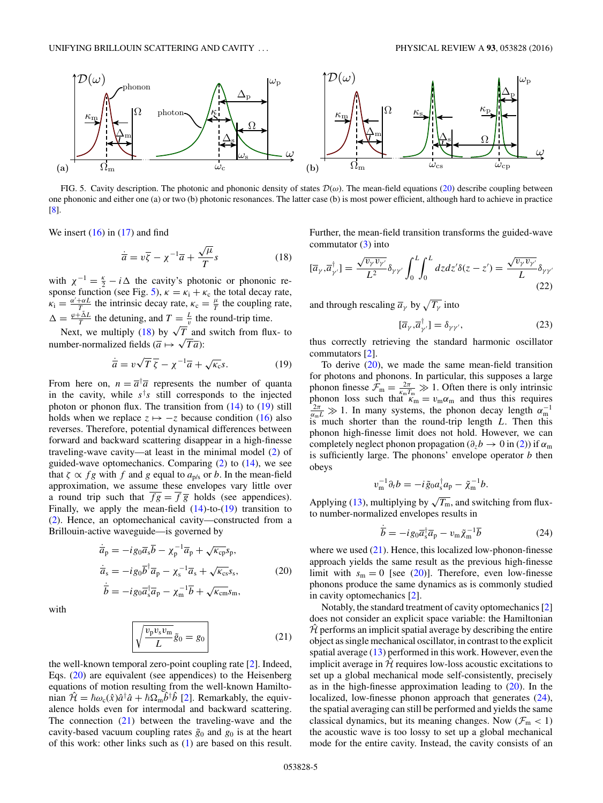<span id="page-4-0"></span>

FIG. 5. Cavity description. The photonic and phononic density of states D(*ω*). The mean-field equations (20) describe coupling between one phononic and either one (a) or two (b) photonic resonances. The latter case (b) is most power efficient, although hard to achieve in practice [\[8\]](#page-12-0).

We insert  $(16)$  in  $(17)$  and find

$$
\dot{\overline{a}} = v\overline{\zeta} - \chi^{-1}\overline{a} + \frac{\sqrt{\mu}}{T}s
$$
 (18)

with  $\chi^{-1} = \frac{\kappa}{2} - i \Delta$  the cavity's photonic or phononic response function (see Fig. 5),  $\kappa = \kappa_i + \kappa_c$  the total decay rate,  $\kappa_i = \frac{\alpha' + \alpha L}{T}$  the intrinsic decay rate,  $\kappa_c = \frac{\mu}{T}$  the coupling rate,  $\Delta = \frac{\varphi + \tilde{\Delta}L}{T}$  the detuning, and  $T = \frac{L}{v}$  the round-trip time.<br>Next, we multiply (18) by  $\sqrt{T}$  and switch from flux- to

Next, we multiply (18) by  $\sqrt{I}$  and<br>number-normalized fields ( $\overline{a} \mapsto \sqrt{T} \overline{a}$ ):

$$
\dot{\overline{a}} = v\sqrt{T}\,\overline{\zeta} - \chi^{-1}\overline{a} + \sqrt{\kappa_c s}.\tag{19}
$$

From here on,  $n = \overline{a}^{\dagger} \overline{a}$  represents the number of quanta in the cavity, while  $s<sup>\dagger</sup>s$  still corresponds to the injected photon or phonon flux. The transition from  $(14)$  to  $(19)$  still holds when we replace  $z \mapsto -z$  because condition [\(16\)](#page-3-0) also reverses. Therefore, potential dynamical differences between forward and backward scattering disappear in a high-finesse traveling-wave cavity—at least in the minimal model [\(2\)](#page-2-0) of guided-wave optomechanics. Comparing [\(2\)](#page-2-0) to [\(14\)](#page-3-0), we see that  $\zeta \propto fg$  with  $f$  and  $g$  equal to  $a_{p/s}$  or  $b$ . In the mean-field approximation, we assume these envelopes vary little over a round trip such that  $\overline{fg} = \overline{f} \overline{g}$  holds (see appendices). Finally, we apply the mean-field  $(14)$ -to- $(19)$  transition to [\(2\)](#page-2-0). Hence, an optomechanical cavity—constructed from a Brillouin-active waveguide—is governed by

$$
\dot{\overline{a}}_p = -ig_0 \overline{a}_s \overline{b} - \chi_p^{-1} \overline{a}_p + \sqrt{\kappa_{cp}} s_p,
$$
  
\n
$$
\dot{\overline{a}}_s = -ig_0 \overline{b}^{\dagger} \overline{a}_p - \chi_s^{-1} \overline{a}_s + \sqrt{\kappa_{cs}} s_s,
$$
\n(20)  
\n
$$
\dot{\overline{b}} = -ig_0 \overline{a}_s^{\dagger} \overline{a}_p - \chi_m^{-1} \overline{b} + \sqrt{\kappa_{cm}} s_m,
$$

with

$$
\sqrt{\frac{v_{\rm p}v_{\rm s}v_{\rm m}}{L}}\tilde{g}_0 = g_0
$$
\n(21)

the well-known temporal zero-point coupling rate [\[2\]](#page-12-0). Indeed, Eqs. (20) are equivalent (see appendices) to the Heisenberg equations of motion resulting from the well-known Hamiltonian  $\hat{\mathcal{H}} = \hbar \omega_c(\hat{x}) \hat{a}^\dagger \hat{a} + \hbar \Omega_m \hat{b}^\dagger \hat{b}$  [\[2\]](#page-12-0). Remarkably, the equivalence holds even for intermodal and backward scattering. The connection (21) between the traveling-wave and the cavity-based vacuum coupling rates  $\tilde{g}_0$  and  $g_0$  is at the heart of this work: other links such as [\(1\)](#page-1-0) are based on this result.

Further, the mean-field transition transforms the guided-wave commutator  $(3)$  into

$$
[\overline{a}_{\gamma}, \overline{a}_{\gamma'}^{\dagger}] = \frac{\sqrt{v_{\gamma} v_{\gamma'}}}{L^2} \delta_{\gamma \gamma'} \int_0^L \int_0^L dz dz' \delta(z - z') = \frac{\sqrt{v_{\gamma} v_{\gamma'}}}{L} \delta_{\gamma \gamma'} \tag{22}
$$

and through rescaling  $\overline{a}_{\gamma}$  by  $\sqrt{T_{\gamma}}$  into

$$
[\overline{a}_{\gamma}, \overline{a}_{\gamma'}^{\dagger}] = \delta_{\gamma\gamma'}, \tag{23}
$$

thus correctly retrieving the standard harmonic oscillator commutators [\[2\]](#page-12-0).

To derive (20), we made the same mean-field transition for photons and phonons. In particular, this supposes a large phonon finesse  $\mathcal{F}_{\text{m}} = \frac{2\pi}{\kappa_{\text{m}}T_{\text{m}}} \gg 1$ . Often there is only intrinsic phonon loss such that  $\kappa_m = v_m \alpha_m$  and thus this requires  $\frac{2\pi}{\alpha_m L} \gg 1$ . In many systems, the phonon decay length  $\alpha_m^{-1}$  is much shorter than the round-trip length *L*. Then this phonon high-finesse limit does not hold. However, we can completely neglect phonon propagation ( $\partial_z b \to 0$  in [\(2\)](#page-2-0)) if  $\alpha_m$ is sufficiently large. The phonons' envelope operator *b* then obeys

$$
v_{\mathbf{m}}^{-1}\partial_t b = -i\,\tilde{g}_0 a_s^{\dagger} a_{\mathbf{p}} - \tilde{\chi}_{\mathbf{m}}^{-1} b.
$$

Applying [\(13\)](#page-3-0), multiplying by  $\sqrt{T_{\text{m}}}$ , and switching from fluxto number-normalized envelopes results in

$$
\dot{\overline{b}} = -ig_0 \overline{a}_s^{\dagger} \overline{a}_p - v_m \tilde{\chi}_m^{-1} \overline{b}
$$
 (24)

where we used  $(21)$ . Hence, this localized low-phonon-finesse approach yields the same result as the previous high-finesse limit with  $s_m = 0$  [see (20)]. Therefore, even low-finesse phonons produce the same dynamics as is commonly studied in cavity optomechanics [\[2\]](#page-12-0).

Notably, the standard treatment of cavity optomechanics [\[2\]](#page-12-0) does not consider an explicit space variable: the Hamiltonian  $H$  performs an implicit spatial average by describing the entire object as single mechanical oscillator, in contrast to the explicit spatial average  $(13)$  performed in this work. However, even the implicit average in  $H$  requires low-loss acoustic excitations to set up a global mechanical mode self-consistently, precisely as in the high-finesse approximation leading to (20). In the localized, low-finesse phonon approach that generates  $(24)$ , the spatial averaging can still be performed and yields the same classical dynamics, but its meaning changes. Now  $(\mathcal{F}_{m} < 1)$ the acoustic wave is too lossy to set up a global mechanical mode for the entire cavity. Instead, the cavity consists of an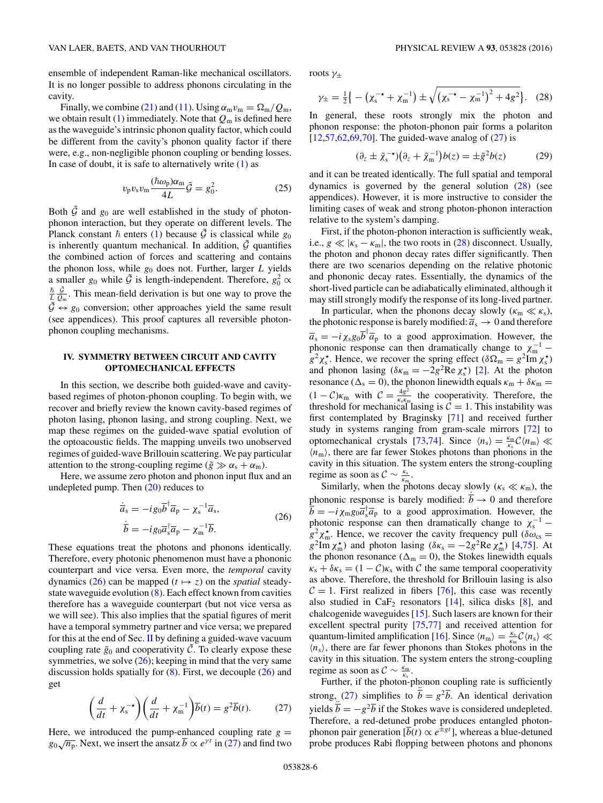<span id="page-5-0"></span>ensemble of independent Raman-like mechanical oscillators. It is no longer possible to address phonons circulating in the cavity.

Finally, we combine [\(21\)](#page-4-0) and [\(11\)](#page-3-0). Using  $\alpha_m v_m = \Omega_m / Q_m$ , we obtain result [\(1\)](#page-1-0) immediately. Note that *Q*<sup>m</sup> is defined here as the waveguide's intrinsic phonon quality factor, which could be different from the cavity's phonon quality factor if there were, e.g., non-negligible phonon coupling or bending losses. In case of doubt, it is safe to alternatively write  $(1)$  as

$$
v_{\rm p}v_{\rm s}v_{\rm m}\frac{(\hbar\omega_{\rm p})\alpha_{\rm m}}{4L}\tilde{\mathcal{G}}=g_0^2.
$$
 (25)

Both  $\tilde{G}$  and  $g_0$  are well established in the study of photonphonon interaction, but they operate on different levels. The Planck constant  $\hbar$  enters [\(1\)](#page-1-0) because  $\tilde{G}$  is classical while *g*<sub>0</sub> is inherently quantum mechanical. In addition,  $\tilde{G}$  quantifies the combined action of forces and scattering and contains the phonon loss, while *g*<sup>0</sup> does not. Further, larger *L* yields a smaller *g*<sub>0</sub> while  $\tilde{G}$  is length-independent. Therefore,  $g_0^2 \propto$  $\frac{\hbar}{L} \frac{\tilde{G}}{Q_m}$ . This mean-field derivation is but one way to prove the  $\tilde{\mathcal{G}} \leftrightarrow g_0$  conversion; other approaches yield the same result (see appendices). This proof captures all reversible photonphonon coupling mechanisms.

## **IV. SYMMETRY BETWEEN CIRCUIT AND CAVITY OPTOMECHANICAL EFFECTS**

In this section, we describe both guided-wave and cavitybased regimes of photon-phonon coupling. To begin with, we recover and briefly review the known cavity-based regimes of photon lasing, phonon lasing, and strong coupling. Next, we map these regimes on the guided-wave spatial evolution of the optoacoustic fields. The mapping unveils two unobserved regimes of guided-wave Brillouin scattering. We pay particular attention to the strong-coupling regime ( $\tilde{g} \gg \alpha_s + \alpha_m$ ).

Here, we assume zero photon and phonon input flux and an undepleted pump. Then  $(20)$  reduces to

$$
\begin{aligned}\n\dot{\overline{a}}_s &= -ig_0 \overline{b}^\dagger \overline{a}_p - \chi_s^{-1} \overline{a}_s, \\
\dot{\overline{b}} &= -ig_0 \overline{a}_s^\dagger \overline{a}_p - \chi_m^{-1} \overline{b}.\n\end{aligned} \tag{26}
$$

These equations treat the photons and phonons identically. Therefore, every photonic phenomenon must have a phononic counterpart and vice versa. Even more, the *temporal* cavity dynamics (26) can be mapped  $(t \mapsto z)$  on the *spatial* steadystate waveguide evolution  $(8)$ . Each effect known from cavities therefore has a waveguide counterpart (but not vice versa as we will see). This also implies that the spatial figures of merit have a temporal symmetry partner and vice versa; we prepared for this at the end of Sec. [II](#page-2-0) by defining a guided-wave vacuum coupling rate  $\tilde{g}_0$  and cooperativity  $\tilde{C}$ . To clearly expose these symmetries, we solve  $(26)$ ; keeping in mind that the very same discussion holds spatially for  $(8)$ . First, we decouple  $(26)$  and get

$$
\left(\frac{d}{dt} + \chi_s^{-1}\right)\left(\frac{d}{dt} + \chi_m^{-1}\right)\overline{b}(t) = g^2\overline{b}(t). \tag{27}
$$

Here, we introduced the pump-enhanced coupling rate  $g =$ *g*<sub>0</sub> $\sqrt{n_p}$ . Next, we insert the ansatz  $\overline{b} \propto e^{\gamma t}$  in (27) and find two roots *γ*<sup>±</sup>

$$
\gamma_{\pm} = \frac{1}{2} \left\{ - \left( \chi_{\rm s}^{-\star} + \chi_{\rm m}^{-1} \right) \pm \sqrt{\left( \chi_{\rm s}^{-\star} - \chi_{\rm m}^{-1} \right)^2 + 4g^2} \right\}. (28)
$$

In general, these roots strongly mix the photon and phonon response: the photon-phonon pair forms a polariton  $[12,57,62,69,70]$  $[12,57,62,69,70]$ . The guided-wave analog of  $(27)$  is

$$
(\partial_z \pm \tilde{\chi}_s^{-\star})(\partial_z + \tilde{\chi}_m^{-1})b(z) = \pm \tilde{g}^2 b(z) \tag{29}
$$

and it can be treated identically. The full spatial and temporal dynamics is governed by the general solution (28) (see appendices). However, it is more instructive to consider the limiting cases of weak and strong photon-phonon interaction relative to the system's damping.

First, if the photon-phonon interaction is sufficiently weak, i.e.,  $g \ll |\kappa_s - \kappa_m|$ , the two roots in (28) disconnect. Usually, the photon and phonon decay rates differ significantly. Then there are two scenarios depending on the relative photonic and phononic decay rates. Essentially, the dynamics of the short-lived particle can be adiabatically eliminated, although it may still strongly modify the response of its long-lived partner.

In particular, when the phonons decay slowly ( $\kappa_{\rm m} \ll \kappa_{\rm s}$ ), the photonic response is barely modified:  $\overline{a_s} \rightarrow 0$  and therefore  $\overline{a}_s = -i \chi_s g_0 \overline{b}^\dagger \overline{a}_p$  to a good approximation. However, the phononic response can then dramatically change to  $\chi_{\rm m}^{-1}$  –  $g^2 \chi_s^*$ . Hence, we recover the spring effect ( $\delta \Omega_m = g^2 \text{Im } \chi_s^*$ ) and phonon lasing ( $\delta \kappa_m = -2g^2 \text{Re } \chi_s^*$ ) [\[2\]](#page-12-0). At the photon resonance ( $\Delta$ <sub>s</sub> = 0), the phonon linewidth equals  $\kappa$ <sub>m</sub> +  $\delta \kappa$ <sub>m</sub> =  $(1 - C)\kappa_{\text{m}}$  with  $C = \frac{4g^2}{\kappa_s \kappa_{\text{m}}}$  the cooperativity. Therefore, the threshold for mechanical lasing is  $C = 1$ . This instability was first contemplated by Braginsky [\[71\]](#page-13-0) and received further study in systems ranging from gram-scale mirrors [\[72\]](#page-13-0) to optomechanical crystals [\[73,74\]](#page-13-0). Since  $\langle n_s \rangle = \frac{\kappa_m}{\kappa_s} C \langle n_m \rangle \ll$  $\langle n_{\rm m} \rangle$ , there are far fewer Stokes photons than phonons in the cavity in this situation. The system enters the strong-coupling regime as soon as  $C \sim \frac{\kappa_s}{\kappa_m}$ .

Similarly, when the photons decay slowly ( $\kappa_s \ll \kappa_m$ ), the phononic response is barely modified:  $\dot{\overline{b}} \rightarrow 0$  and therefore  $\overline{b} = -i \chi_{\text{m}} g_0 \overline{a}_s^{\dagger} \overline{a}_p$  to a good approximation. However, the photonic response can then dramatically change to  $\chi_s^{-1}$  –  $g^2$ <sub> $\chi$ </sub><sup>\*</sup><sub>n</sub>. Hence, we recover the cavity frequency pull ( $\delta \omega_{\rm cs}$  =  $g^2$ Im  $\chi_m^*$ ) and photon lasing ( $\delta \kappa_s = -2g^2$ Re  $\chi_m^*$ ) [\[4,](#page-12-0)[75\]](#page-13-0). At the phonon resonance ( $\Delta_m = 0$ ), the Stokes linewidth equals  $\kappa_s + \delta \kappa_s = (1 - \mathcal{C}) \kappa_s$  with C the same temporal cooperativity as above. Therefore, the threshold for Brillouin lasing is also  $C = 1$ . First realized in fibers [\[76\]](#page-13-0), this case was recently also studied in  $CaF<sub>2</sub>$  resonators [\[14\]](#page-12-0), silica disks [\[8\]](#page-12-0), and chalcogenide waveguides [\[15\]](#page-12-0). Such lasers are known for their excellent spectral purity [\[75,77\]](#page-13-0) and received attention for quantum-limited amplification [\[16\]](#page-12-0). Since  $\langle n_{\rm m} \rangle = \frac{\kappa_{\rm s}}{\kappa_{\rm m}} C \langle n_{\rm s} \rangle \ll$  $\langle n_s \rangle$ , there are far fewer phonons than Stokes photons in the cavity in this situation. The system enters the strong-coupling regime as soon as  $C \sim \frac{\kappa_m}{\kappa_s}$ .

Further, if the photon-phonon coupling rate is sufficiently strong, (27) simplifies to  $\vec{b} = g^2 \vec{b}$ . An identical derivation yields  $\vec{b} = -g^2 \vec{b}$  if the Stokes wave is considered undepleted. Therefore, a red-detuned probe produces entangled photonphonon pair generation  $[\overline{b}(t) \propto e^{\pm gt}]$ , whereas a blue-detuned probe produces Rabi flopping between photons and phonons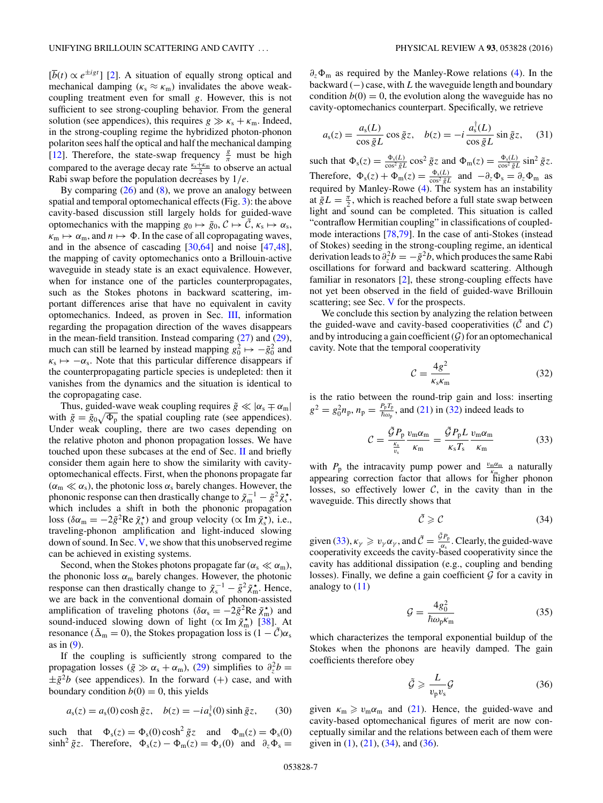<span id="page-6-0"></span> $[\overline{b}(t) \propto e^{\pm igt}]$  [\[2\]](#page-12-0). A situation of equally strong optical and mechanical damping ( $\kappa$ <sub>s</sub>  $\approx \kappa$ <sub>m</sub>) invalidates the above weakcoupling treatment even for small *g*. However, this is not sufficient to see strong-coupling behavior. From the general solution (see appendices), this requires  $g \gg \kappa_s + \kappa_m$ . Indeed, in the strong-coupling regime the hybridized photon-phonon polariton sees half the optical and half the mechanical damping [\[12\]](#page-12-0). Therefore, the state-swap frequency  $\frac{g}{\pi}$  must be high compared to the average decay rate  $\frac{k_s + k_m}{2}$  to observe an actual Rabi swap before the population decreases by 1*/e*.

By comparing  $(26)$  and  $(8)$ , we prove an analogy between spatial and temporal optomechanical effects (Fig. [3\)](#page-1-0): the above cavity-based discussion still largely holds for guided-wave optomechanics with the mapping  $g_0 \mapsto \tilde{g}_0$ ,  $C \mapsto \tilde{C}$ ,  $\kappa_s \mapsto \alpha_s$ ,  $\kappa_{\rm m} \mapsto \alpha_{\rm m}$ , and  $n \mapsto \Phi$ . In the case of all copropagating waves, and in the absence of cascading [\[30,](#page-12-0)[64\]](#page-13-0) and noise [\[47,48\]](#page-13-0), the mapping of cavity optomechanics onto a Brillouin-active waveguide in steady state is an exact equivalence. However, when for instance one of the particles counterpropagates, such as the Stokes photons in backward scattering, important differences arise that have no equivalent in cavity optomechanics. Indeed, as proven in Sec. [III,](#page-3-0) information regarding the propagation direction of the waves disappears in the mean-field transition. Instead comparing [\(27\)](#page-5-0) and [\(29\)](#page-5-0), much can still be learned by instead mapping  $g_0^2 \mapsto -\tilde{g}_0^2$  and  $\kappa_s \mapsto -\alpha_s$ . Note that this particular difference disappears if the counterpropagating particle species is undepleted: then it vanishes from the dynamics and the situation is identical to the copropagating case.

Thus, guided-wave weak coupling requires  $\tilde{g} \ll |\alpha_s \mp \alpha_m|$ with  $\tilde{g} = \tilde{g}_0 \sqrt{\Phi_p}$  the spatial coupling rate (see appendices). Under weak coupling, there are two cases depending on the relative photon and phonon propagation losses. We have touched upon these subcases at the end of Sec.  $\Pi$  and briefly consider them again here to show the similarity with cavityoptomechanical effects. First, when the phonons propagate far  $(\alpha_m \ll \alpha_s)$ , the photonic loss  $\alpha_s$  barely changes. However, the phononic response can then drastically change to  $\tilde{\chi}_{m}^{-1} - \tilde{g}^{2} \tilde{\chi}_{s}^{*}$ , which includes a shift in both the phononic propagation loss ( $\delta \alpha_m = -2\tilde{g}^2 \text{Re } \tilde{\chi}_s^*$ ) and group velocity ( $\propto \text{Im } \tilde{\chi}_s^*$ ), i.e., traveling-phonon amplification and light-induced slowing down of sound. In Sec. [V,](#page-7-0) we show that this unobserved regime can be achieved in existing systems.

Second, when the Stokes photons propagate far ( $\alpha_s \ll \alpha_m$ ), the phononic loss  $\alpha_m$  barely changes. However, the photonic response can then drastically change to  $\tilde{\chi}_s^{-1} - \tilde{g}^2 \tilde{\chi}_m^*$ . Hence, we are back in the conventional domain of phonon-assisted amplification of traveling photons ( $\delta \alpha_s = -2\tilde{g}^2 \text{Re } \tilde{\chi}_m^*$ ) and sound-induced slowing down of light ( $\propto$  Im  $\tilde{\chi}_{m}^{*}$ ) [\[38\]](#page-13-0). At resonance ( $\tilde{\Delta}_{m} = 0$ ), the Stokes propagation loss is  $(1 - \tilde{C})\alpha_s$ as in  $(9)$ .

If the coupling is sufficiently strong compared to the propagation losses ( $\tilde{g} \gg \alpha_s + \alpha_m$ ), [\(29\)](#page-5-0) simplifies to  $\partial_z^2 b =$  $\pm \tilde{g}^2b$  (see appendices). In the forward (+) case, and with boundary condition  $b(0) = 0$ , this yields

$$
a_{s}(z) = a_{s}(0)\cosh \tilde{g}z, \quad b(z) = -i a_{s}^{\dagger}(0)\sinh \tilde{g}z, \tag{30}
$$

such that  $\Phi_s(z) = \Phi_s(0) \cosh^2 \tilde{g} z$  and  $\Phi_m(z) = \Phi_s(0)$  $\sinh^2 \tilde{g}z$ . Therefore,  $\Phi_s(z) - \Phi_m(z) = \Phi_s(0)$  and  $\partial_z \Phi_s =$ 

*∂z* <sup>m</sup> as required by the Manley-Rowe relations [\(4\)](#page-2-0). In the backward (−) case, with *L* the waveguide length and boundary condition  $b(0) = 0$ , the evolution along the waveguide has no cavity-optomechanics counterpart. Specifically, we retrieve

$$
a_{s}(z) = \frac{a_{s}(L)}{\cos \tilde{g}L} \cos \tilde{g}z, \quad b(z) = -i \frac{a_{s}^{\dagger}(L)}{\cos \tilde{g}L} \sin \tilde{g}z, \quad (31)
$$

such that  $\Phi_s(z) = \frac{\Phi_s(L)}{\cos^2 \tilde{g} L} \cos^2 \tilde{g} z$  and  $\Phi_m(z) = \frac{\Phi_s(L)}{\cos^2 \tilde{g} L} \sin^2 \tilde{g} z$ . Therefore,  $\Phi_s(z) + \Phi_m(z) = \frac{\Phi_s(L)}{\cos^2 \tilde{g}L}$  and  $-\partial_z \Phi_s = \partial_z \Phi_m$  as required by Manley-Rowe [\(4\)](#page-2-0). The system has an instability at  $\tilde{g}L = \frac{\pi}{2}$ , which is reached before a full state swap between light and sound can be completed. This situation is called "contraflow Hermitian coupling" in classifications of coupledmode interactions [\[78,79\]](#page-13-0). In the case of anti-Stokes (instead of Stokes) seeding in the strong-coupling regime, an identical derivation leads to  $\partial_z^2 b = -\tilde{g}^2 b$ , which produces the same Rabi oscillations for forward and backward scattering. Although familiar in resonators [\[2\]](#page-12-0), these strong-coupling effects have not yet been observed in the field of guided-wave Brillouin scattering; see Sec. [V](#page-7-0) for the prospects.

We conclude this section by analyzing the relation between the guided-wave and cavity-based cooperativities ( $\mathcal C$  and  $\mathcal C$ ) and by introducing a gain coefficient  $(G)$  for an optomechanical cavity. Note that the temporal cooperativity

$$
\mathcal{C} = \frac{4g^2}{\kappa_s \kappa_m} \tag{32}
$$

is the ratio between the round-trip gain and loss: inserting  $g^2 = g_0^2 n_p$ ,  $n_p = \frac{P_p T_p}{\hbar \omega_p}$ , and [\(21\)](#page-4-0) in (32) indeed leads to

$$
\mathcal{C} = \frac{\tilde{\mathcal{G}} P_{\rm p}}{\frac{\kappa_{\rm s}}{\kappa_{\rm s}}} \frac{v_{\rm m} \alpha_{\rm m}}{\kappa_{\rm m}} = \frac{\tilde{\mathcal{G}} P_{\rm p} L}{\kappa_{\rm s} T_{\rm s}} \frac{v_{\rm m} \alpha_{\rm m}}{\kappa_{\rm m}} \tag{33}
$$

with  $P_p$  the intracavity pump power and  $v_{m}^{\omega_m}$  a naturally appearing correction factor that allows for  $\hat{\text{m}}$  gher phonon losses, so effectively lower  $C$ , in the cavity than in the waveguide. This directly shows that

$$
\tilde{\mathcal{C}} \geqslant \mathcal{C} \tag{34}
$$

given (33),  $\kappa_{\gamma} \ge v_{\gamma} \alpha_{\gamma}$ , and  $\tilde{C} = \frac{\tilde{\mathcal{G}} P_{\rho}}{\alpha_{s}}$ . Clearly, the guided-wave cooperativity exceeds the cavity-based cooperativity since the cavity has additional dissipation (e.g., coupling and bending losses). Finally, we define a gain coefficient  $G$  for a cavity in analogy to [\(11\)](#page-3-0)

$$
\mathcal{G} = \frac{4g_0^2}{\hbar \omega_p \kappa_m} \tag{35}
$$

which characterizes the temporal exponential buildup of the Stokes when the phonons are heavily damped. The gain coefficients therefore obey

$$
\tilde{\mathcal{G}} \geqslant \frac{L}{v_{\rm p} v_{\rm s}} \mathcal{G} \tag{36}
$$

given  $\kappa_{\rm m} \geq v_{\rm m} \alpha_{\rm m}$  and [\(21\)](#page-4-0). Hence, the guided-wave and cavity-based optomechanical figures of merit are now conceptually similar and the relations between each of them were given in  $(1)$ ,  $(21)$ ,  $(34)$ , and  $(36)$ .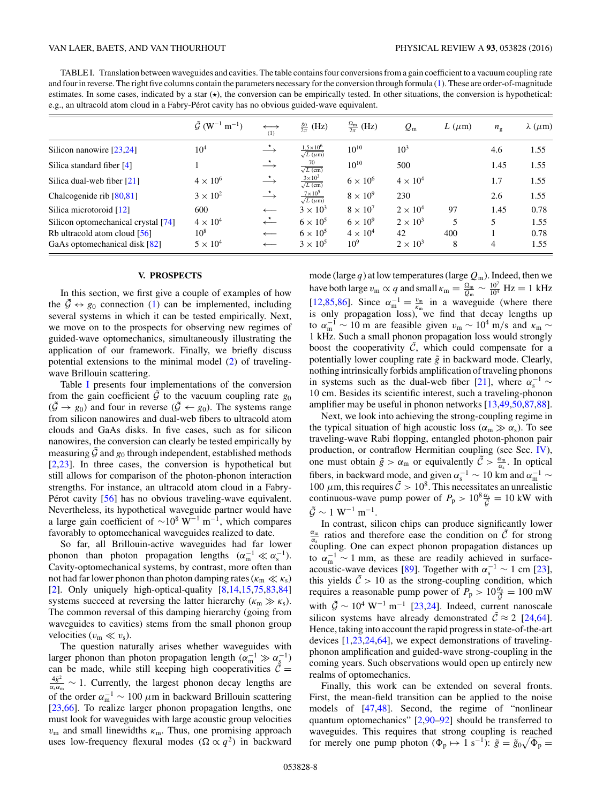<span id="page-7-0"></span>TABLE I. Translation between waveguides and cavities. The table contains four conversions from a gain coefficient to a vacuum coupling rate and four in reverse. The right five columns contain the parameters necessary for the conversion through formula [\(1\)](#page-1-0). These are order-of-magnitude estimates. In some cases, indicated by a star  $(\star)$ , the conversion can be empirically tested. In other situations, the conversion is hypothetical: e.g., an ultracold atom cloud in a Fabry-Pérot cavity has no obvious guided-wave equivalent.

|                                     | $\tilde{\mathcal{G}}$ (W <sup>-1</sup> m <sup>-1</sup> ) | $\longleftrightarrow$<br>(1)        | $\frac{g_0}{2\pi}$ (Hz)                             | $\frac{\Omega_{\rm m}}{2\pi}$ (Hz) | $Q_{\rm m}$     | $L(\mu m)$ | $n_{\rm g}$ | $\lambda$ ( $\mu$ m) |
|-------------------------------------|----------------------------------------------------------|-------------------------------------|-----------------------------------------------------|------------------------------------|-----------------|------------|-------------|----------------------|
| Silicon nanowire [23,24]            | $10^{4}$                                                 | $\stackrel{\star}{\longrightarrow}$ | $\frac{1.5 \times 10^6}{\sqrt{L \ (\mu \text{m})}}$ | $10^{10}$                          | $10^{3}$        |            | 4.6         | 1.55                 |
| Silica standard fiber $[4]$         |                                                          | $\stackrel{\star}{\longrightarrow}$ | $\frac{70}{\sqrt{L \text{ (cm)}}}$                  | $10^{10}$                          | 500             |            | 1.45        | 1.55                 |
| Silica dual-web fiber $[21]$        | $4 \times 10^6$                                          | $\stackrel{\star}{\longrightarrow}$ | $\frac{3\times10^3}{\sqrt{L\text{ (cm)}}}$          | $6 \times 10^6$                    | $4 \times 10^4$ |            | 1.7         | 1.55                 |
| Chalcogenide rib $[80, 81]$         | $3 \times 10^2$                                          | $\stackrel{\star}{\longrightarrow}$ | $\frac{7\times10^5}{\sqrt{L(\mu m)}}$               | $8 \times 10^9$                    | 230             |            | 2.6         | 1.55                 |
| Silica microtoroid [12]             | 600                                                      | $\longleftarrow$                    | $3 \times 10^3$                                     | $8 \times 10^7$                    | $2 \times 10^4$ | 97         | 1.45        | 0.78                 |
| Silicon optomechanical crystal [74] | $4 \times 10^4$                                          | $\stackrel{\star}{\longleftarrow}$  | $6 \times 10^5$                                     | $6 \times 10^9$                    | $2 \times 10^3$ | 5          | 5.          | 1.55                 |
| Rb ultracold atom cloud $[56]$      | $10^{8}$                                                 | $\longleftarrow$                    | $6 \times 10^5$                                     | $4 \times 10^4$                    | 42              | 400        |             | 0.78                 |
| GaAs optomechanical disk [82]       | $5 \times 10^4$                                          | $\longleftarrow$                    | $3 \times 10^5$                                     | 10 <sup>9</sup>                    | $2 \times 10^3$ | 8          | 4           | 1.55                 |

#### **V. PROSPECTS**

In this section, we first give a couple of examples of how the  $\mathcal{G} \leftrightarrow \mathfrak{g}_0$  connection [\(1\)](#page-1-0) can be implemented, including several systems in which it can be tested empirically. Next, we move on to the prospects for observing new regimes of guided-wave optomechanics, simultaneously illustrating the application of our framework. Finally, we briefly discuss potential extensions to the minimal model [\(2\)](#page-2-0) of travelingwave Brillouin scattering.

Table I presents four implementations of the conversion from the gain coefficient  $\tilde{G}$  to the vacuum coupling rate  $g_0$  $(\tilde{\mathcal{G}} \to g_0)$  and four in reverse  $(\tilde{\mathcal{G}} \leftarrow g_0)$ . The systems range from silicon nanowires and dual-web fibers to ultracold atom clouds and GaAs disks. In five cases, such as for silicon nanowires, the conversion can clearly be tested empirically by measuring  $\tilde{G}$  and  $g_0$  through independent, established methods [\[2,23\]](#page-12-0). In three cases, the conversion is hypothetical but still allows for comparison of the photon-phonon interaction strengths. For instance, an ultracold atom cloud in a Fabry-Pérot cavity  $[56]$  $[56]$  has no obvious traveling-wave equivalent. Nevertheless, its hypothetical waveguide partner would have a large gain coefficient of  $\sim 10^8$  W<sup>-1</sup> m<sup>-1</sup>, which compares favorably to optomechanical waveguides realized to date.

So far, all Brillouin-active waveguides had far lower phonon than photon propagation lengths  $(\alpha_{\rm m}^{-1} \ll \alpha_{\rm s}^{-1})$ . Cavity-optomechanical systems, by contrast, more often than not had far lower phonon than photon damping rates ( $\kappa_{\rm m} \ll \kappa_{\rm s}$ ) [\[2\]](#page-12-0). Only uniquely high-optical-quality  $[8,14,15,75,83,84]$  $[8,14,15,75,83,84]$ ] systems succeed at reversing the latter hierarchy ( $\kappa_{\rm m} \gg \kappa_{\rm s}$ ). The common reversal of this damping hierarchy (going from waveguides to cavities) stems from the small phonon group velocities  $(v_m \ll v_s)$ .

The question naturally arises whether waveguides with larger phonon than photon propagation length  $(\alpha_{\rm m}^{-1} \gg \alpha_{\rm s}^{-1})$ can be made, while still keeping high cooperativities  $\tilde{C} =$  $rac{4\tilde{g}^2}{\alpha_s\alpha_m}$  ∼ 1. Currently, the largest phonon decay lengths are of the order  $\alpha_{\rm m}^{-1} \sim 100 \ \mu \text{m}$  in backward Brillouin scattering [\[23,](#page-12-0)[66\]](#page-13-0). To realize larger phonon propagation lengths, one must look for waveguides with large acoustic group velocities *v*<sup>m</sup> and small linewidths *κ*m. Thus, one promising approach uses low-frequency flexural modes ( $\Omega \propto q^2$ ) in backward mode (large *q*) at low temperatures (large *Q*m). Indeed, then we have both large  $v_m \propto q$  and small  $\kappa_m = \frac{\Omega_m}{Q_m} \sim \frac{10^7}{10^4}$  Hz = 1 kHz [\[12,](#page-12-0)[85,86\]](#page-13-0). Since  $\alpha_m^{-1} = \frac{v_m}{\kappa_m}$  in a waveguide (where there is only propagation loss), we find that decay lengths up to  $\alpha_{\rm m}^{-1} \sim 10$  m are feasible given  $v_{\rm m} \sim 10^4$  m/s and  $\kappa_{\rm m} \sim$ 1 kHz. Such a small phonon propagation loss would strongly boost the cooperativity  $\tilde{C}$ , which could compensate for a potentially lower coupling rate  $\tilde{g}$  in backward mode. Clearly, nothing intrinsically forbids amplification of traveling phonons in systems such as the dual-web fiber [\[21\]](#page-12-0), where  $\alpha_s^{-1}$  ~ 10 cm. Besides its scientific interest, such a traveling-phonon amplifier may be useful in phonon networks [\[13](#page-12-0)[,49,50,87,88\]](#page-13-0).

Next, we look into achieving the strong-coupling regime in the typical situation of high acoustic loss ( $\alpha_m \gg \alpha_s$ ). To see traveling-wave Rabi flopping, entangled photon-phonon pair production, or contraflow Hermitian coupling (see Sec. [IV\)](#page-5-0), one must obtain  $\tilde{g} > \alpha_m$  or equivalently  $\tilde{C} > \frac{\alpha_m}{\alpha_s}$ . In optical fibers, in backward mode, and given  $\alpha_s^{-1} \sim 10$  km and  $\alpha_m^{-1} \sim$ 100  $\mu$ m, this requires  $\tilde{C} > 10^8$ . This necessitates an unrealistic continuous-wave pump power of  $P_p > 10^8 \frac{\alpha_s}{\tilde{G}} = 10 \text{ kW}$  with  $\tilde{\mathcal{G}} \sim 1 \text{ W}^{-1} \text{ m}^{-1}.$ 

In contrast, silicon chips can produce significantly lower  $\frac{\alpha_m}{\alpha}$  ratios and therefore ease the condition on  $\tilde{C}$  for strong coupling. One can expect phonon propagation distances up to  $\alpha_{\rm m}^{-1} \sim 1$  mm, as these are readily achieved in surface-acoustic-wave devices [\[89\]](#page-13-0). Together with  $\alpha_s^{-1} \sim 1$  cm [\[23\]](#page-12-0), this yields  $\tilde{C} > 10$  as the strong-coupling condition, which requires a reasonable pump power of  $P_p > 10 \frac{\alpha_s}{\tilde{G}} = 100 \text{ mW}$ with  $\tilde{\mathcal{G}} \sim 10^4 \text{ W}^{-1} \text{ m}^{-1}$  [\[23,24\]](#page-12-0). Indeed, current nanoscale silicon systems have already demonstrated  $\tilde{C} \approx 2$  [\[24](#page-12-0)[,64\]](#page-13-0). Hence, taking into account the rapid progress in state-of-the-art devices [\[1,23,24](#page-12-0)[,64\]](#page-13-0), we expect demonstrations of travelingphonon amplification and guided-wave strong-coupling in the coming years. Such observations would open up entirely new realms of optomechanics.

Finally, this work can be extended on several fronts. First, the mean-field transition can be applied to the noise models of [\[47,48\]](#page-13-0). Second, the regime of "nonlinear quantum optomechanics" [\[2,](#page-12-0)[90–92\]](#page-13-0) should be transferred to waveguides. This requires that strong coupling is reached for merely one pump photon  $(\Phi_p \mapsto 1 \text{ s}^{-1})$ :  $\tilde{g} = \tilde{g}_0 \sqrt{\Phi_p} =$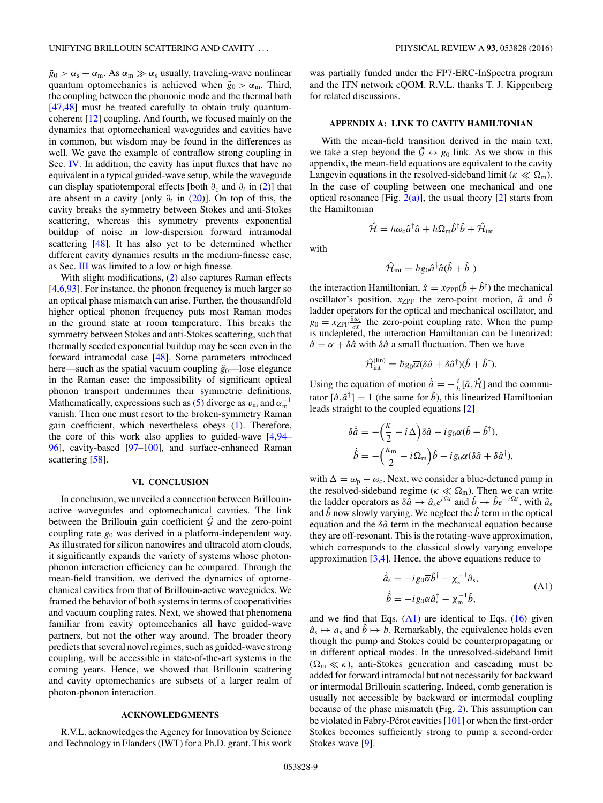<span id="page-8-0"></span> $\tilde{g}_0 > \alpha_s + \alpha_m$ . As  $\alpha_m \gg \alpha_s$  usually, traveling-wave nonlinear quantum optomechanics is achieved when  $\tilde{g}_0 > \alpha_m$ . Third, the coupling between the phononic mode and the thermal bath [\[47,48\]](#page-13-0) must be treated carefully to obtain truly quantumcoherent [\[12\]](#page-12-0) coupling. And fourth, we focused mainly on the dynamics that optomechanical waveguides and cavities have in common, but wisdom may be found in the differences as well. We gave the example of contraflow strong coupling in Sec. [IV.](#page-5-0) In addition, the cavity has input fluxes that have no equivalent in a typical guided-wave setup, while the waveguide can display spatiotemporal effects [both *∂z* and *∂t* in [\(2\)](#page-2-0)] that are absent in a cavity [only  $\partial_t$  in [\(20\)](#page-4-0)]. On top of this, the cavity breaks the symmetry between Stokes and anti-Stokes scattering, whereas this symmetry prevents exponential buildup of noise in low-dispersion forward intramodal scattering [\[48\]](#page-13-0). It has also yet to be determined whether different cavity dynamics results in the medium-finesse case, as Sec. [III](#page-3-0) was limited to a low or high finesse.

With slight modifications, [\(2\)](#page-2-0) also captures Raman effects [\[4,6](#page-12-0)[,93\]](#page-13-0). For instance, the phonon frequency is much larger so an optical phase mismatch can arise. Further, the thousandfold higher optical phonon frequency puts most Raman modes in the ground state at room temperature. This breaks the symmetry between Stokes and anti-Stokes scattering, such that thermally seeded exponential buildup may be seen even in the forward intramodal case [\[48\]](#page-13-0). Some parameters introduced here—such as the spatial vacuum coupling  $\tilde{g}_0$ —lose elegance in the Raman case: the impossibility of significant optical phonon transport undermines their symmetric definitions. Mathematically, expressions such as [\(5\)](#page-2-0) diverge as  $v_m$  and  $\alpha_m^{-1}$ vanish. Then one must resort to the broken-symmetry Raman gain coefficient, which nevertheless obeys [\(1\)](#page-1-0). Therefore, the core of this work also applies to guided-wave [\[4](#page-12-0)[,94–](#page-13-0) [96\]](#page-13-0), cavity-based [\[97–](#page-13-0)[100\]](#page-14-0), and surface-enhanced Raman scattering [\[58\]](#page-13-0).

### **VI. CONCLUSION**

In conclusion, we unveiled a connection between Brillouinactive waveguides and optomechanical cavities. The link between the Brillouin gain coefficient  $\tilde{G}$  and the zero-point coupling rate *g*<sup>0</sup> was derived in a platform-independent way. As illustrated for silicon nanowires and ultracold atom clouds, it significantly expands the variety of systems whose photonphonon interaction efficiency can be compared. Through the mean-field transition, we derived the dynamics of optomechanical cavities from that of Brillouin-active waveguides. We framed the behavior of both systems in terms of cooperativities and vacuum coupling rates. Next, we showed that phenomena familiar from cavity optomechanics all have guided-wave partners, but not the other way around. The broader theory predicts that several novel regimes, such as guided-wave strong coupling, will be accessible in state-of-the-art systems in the coming years. Hence, we showed that Brillouin scattering and cavity optomechanics are subsets of a larger realm of photon-phonon interaction.

## **ACKNOWLEDGMENTS**

R.V.L. acknowledges the Agency for Innovation by Science and Technology in Flanders (IWT) for a Ph.D. grant. This work was partially funded under the FP7-ERC-InSpectra program and the ITN network cQOM. R.V.L. thanks T. J. Kippenberg for related discussions.

## **APPENDIX A: LINK TO CAVITY HAMILTONIAN**

With the mean-field transition derived in the main text, we take a step beyond the  $\tilde{\mathcal{G}} \leftrightarrow g_0$  link. As we show in this appendix, the mean-field equations are equivalent to the cavity Langevin equations in the resolved-sideband limit ( $\kappa \ll \Omega_m$ ). In the case of coupling between one mechanical and one optical resonance [Fig.  $2(a)$ ], the usual theory [\[2\]](#page-12-0) starts from the Hamiltonian

$$
\hat{\mathcal{H}} = \hbar \omega_{\rm c} \hat{a}^{\dagger} \hat{a} + \hbar \Omega_{\rm m} \hat{b}^{\dagger} \hat{b} + \hat{\mathcal{H}}_{\rm int}
$$

with

$$
\hat{\mathcal{H}}_{\text{int}} = \hbar g_0 \hat{a}^\dagger \hat{a} (\hat{b} + \hat{b}^\dagger)
$$

the interaction Hamiltonian,  $\hat{x} = x_{\text{ZPF}}(\hat{b} + \hat{b}^{\dagger})$  the mechanical oscillator's position,  $x_{ZPF}$  the zero-point motion,  $\hat{a}$  and  $\hat{b}$ ladder operators for the optical and mechanical oscillator, and  $g_0 = x_{\text{ZPF}} \frac{\partial \omega_c}{\partial x}$  the zero-point coupling rate. When the pump is undepleted, the interaction Hamiltonian can be linearized:  $\hat{a} = \overline{\alpha} + \delta \hat{a}$  with  $\delta \hat{a}$  a small fluctuation. Then we have

$$
\hat{\mathcal{H}}_{\text{int}}^{(\text{lin})} = \hbar g_0 \overline{\alpha} (\delta \hat{a} + \delta \hat{a}^\dagger) (\hat{b} + \hat{b}^\dagger).
$$

Using the equation of motion  $\hat{a} = -\frac{i}{\hbar}[\hat{a}, \hat{\mathcal{H}}]$  and the commutator  $[\hat{a}, \hat{a}^{\dagger}] = 1$  (the same for  $\hat{b}$ ), this linearized Hamiltonian leads straight to the coupled equations [\[2\]](#page-12-0)

$$
\delta \dot{\hat{a}} = -\left(\frac{\kappa}{2} - i\,\Delta\right) \delta \hat{a} - ig_0 \overline{\alpha} (\hat{b} + \hat{b}^\dagger),
$$

$$
\dot{\hat{b}} = -\left(\frac{\kappa_{\rm m}}{2} - i\,\Omega_{\rm m}\right) \hat{b} - ig_0 \overline{\alpha} (\delta \hat{a} + \delta \hat{a}^\dagger),
$$

with  $\Delta = \omega_p - \omega_c$ . Next, we consider a blue-detuned pump in the resolved-sideband regime ( $\kappa \ll \Omega_{\rm m}$ ). Then we can write the ladder operators as  $\delta \tilde{a} \to \hat{a}_s e^{i\Omega t}$  and  $\hat{b} \to \hat{b} e^{-i\Omega t}$ , with  $\hat{a}_s$ and  $\hat{b}$  now slowly varying. We neglect the  $\hat{b}$  term in the optical equation and the *δa*ˆ term in the mechanical equation because they are off-resonant. This is the rotating-wave approximation, which corresponds to the classical slowly varying envelope approximation  $[3,4]$ . Hence, the above equations reduce to

$$
\dot{\hat{a}}_{s} = -ig_{0}\overline{\alpha}\hat{b}^{\dagger} - \chi_{s}^{-1}\hat{a}_{s},
$$
\n
$$
\dot{\hat{b}} = -ig_{0}\overline{\alpha}\hat{a}_{s}^{\dagger} - \chi_{m}^{-1}\hat{b},
$$
\n(A1)

and we find that Eqs.  $(A1)$  are identical to Eqs.  $(16)$  given  $\hat{a}_s \mapsto \overline{a}_s$  and  $\hat{b} \mapsto \overline{b}$ . Remarkably, the equivalence holds even though the pump and Stokes could be counterpropagating or in different optical modes. In the unresolved-sideband limit  $(\Omega_m \ll \kappa)$ , anti-Stokes generation and cascading must be added for forward intramodal but not necessarily for backward or intermodal Brillouin scattering. Indeed, comb generation is usually not accessible by backward or intermodal coupling because of the phase mismatch (Fig. [2\)](#page-1-0). This assumption can be violated in Fabry-Pérot cavities  $[101]$  $[101]$  or when the first-order Stokes becomes sufficiently strong to pump a second-order Stokes wave [\[9\]](#page-12-0).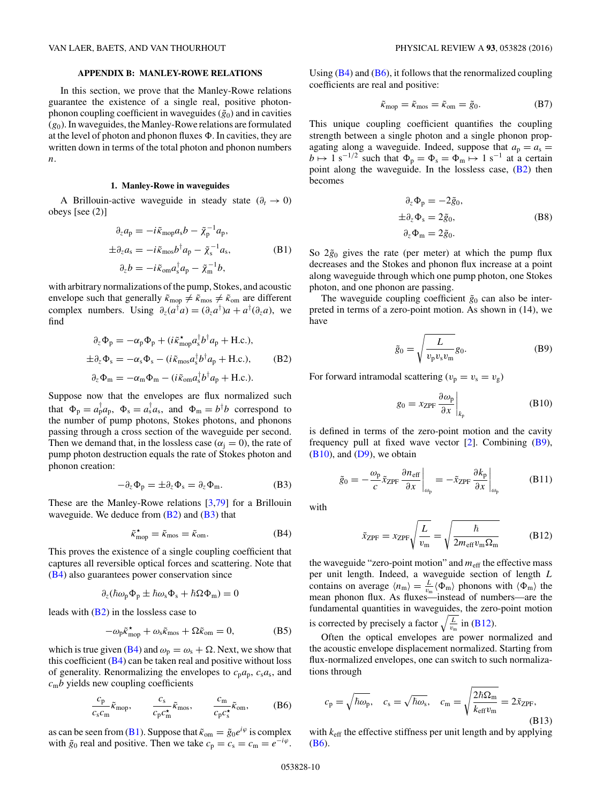### **APPENDIX B: MANLEY-ROWE RELATIONS**

<span id="page-9-0"></span>In this section, we prove that the Manley-Rowe relations guarantee the existence of a single real, positive photonphonon coupling coefficient in waveguides  $(\tilde{g}_0)$  and in cavities (*g*0). In waveguides, the Manley-Rowe relations are formulated at the level of photon and phonon fluxes  $\Phi$ . In cavities, they are written down in terms of the total photon and phonon numbers *n*.

# **1. Manley-Rowe in waveguides**

A Brillouin-active waveguide in steady state  $(\partial_t \to 0)$ obeys [see (2)]

$$
\partial_z a_p = -i\tilde{\kappa}_{\text{mop}} a_s b - \tilde{\chi}_p^{-1} a_p,
$$
  
\n
$$
\pm \partial_z a_s = -i\tilde{\kappa}_{\text{mop}} b^\dagger a_p - \tilde{\chi}_s^{-1} a_s,
$$
  
\n
$$
\partial_z b = -i\tilde{\kappa}_{\text{om}} a_s^\dagger a_p - \tilde{\chi}_m^{-1} b,
$$
\n(B1)

with arbitrary normalizations of the pump, Stokes, and acoustic envelope such that generally  $\tilde{\kappa}_{\text{mop}} \neq \tilde{\kappa}_{\text{mos}} \neq \tilde{\kappa}_{\text{om}}$  are different complex numbers. Using  $\partial_z(a^\dagger a) = (\partial_z a^\dagger) a + a^\dagger (\partial_z a)$ , we find

$$
\partial_z \Phi_p = -\alpha_p \Phi_p + (i\tilde{\kappa}_{\text{mop}}^* a_s^{\dagger} b^{\dagger} a_p + \text{H.c.}),
$$
  
\n
$$
\pm \partial_z \Phi_s = -\alpha_s \Phi_s - (i\tilde{\kappa}_{\text{mos}} a_s^{\dagger} b^{\dagger} a_p + \text{H.c.}),
$$
  
\n
$$
\partial_z \Phi_m = -\alpha_m \Phi_m - (i\tilde{\kappa}_{\text{om}} a_s^{\dagger} b^{\dagger} a_p + \text{H.c.}).
$$
 (B2)

Suppose now that the envelopes are flux normalized such that  $\Phi_{\rm p} = a_{\rm p}^{\rm T} a_{\rm p}$ ,  $\Phi_{\rm s} = a_{\rm s}^{\rm T} a_{\rm s}$ , and  $\Phi_{\rm m} = b^{\rm T} b$  correspond to the number of pump photons, Stokes photons, and phonons passing through a cross section of the waveguide per second. Then we demand that, in the lossless case ( $\alpha_i = 0$ ), the rate of pump photon destruction equals the rate of Stokes photon and phonon creation:

$$
-\partial_z \Phi_p = \pm \partial_z \Phi_s = \partial_z \Phi_m.
$$
 (B3)

These are the Manley-Rowe relations [\[3,](#page-12-0)[79\]](#page-13-0) for a Brillouin waveguide. We deduce from  $(B2)$  and  $(B3)$  that

$$
\tilde{\kappa}_{\text{mop}}^{\star} = \tilde{\kappa}_{\text{mos}} = \tilde{\kappa}_{\text{om}}.\tag{B4}
$$

This proves the existence of a single coupling coefficient that captures all reversible optical forces and scattering. Note that (B4) also guarantees power conservation since

$$
\partial_z(\hbar\omega_p\Phi_p \pm \hbar\omega_s\Phi_s + \hbar\Omega\Phi_m) = 0
$$

leads with (B2) in the lossless case to

$$
-\omega_{\rm p}\tilde{\kappa}_{\rm mop}^{\star} + \omega_{\rm s}\tilde{\kappa}_{\rm mos} + \Omega\tilde{\kappa}_{\rm om} = 0, \tag{B5}
$$

which is true given (B4) and  $\omega_p = \omega_s + \Omega$ . Next, we show that this coefficient  $(B4)$  can be taken real and positive without loss of generality. Renormalizing the envelopes to  $c_p a_p$ ,  $c_s a_s$ , and  $c<sub>m</sub>b$  yields new coupling coefficients

$$
\frac{c_{\rm p}}{c_{\rm s}c_{\rm m}}\tilde{\kappa}_{\rm mop}, \qquad \frac{c_{\rm s}}{c_{\rm p}c_{\rm m}^*}\tilde{\kappa}_{\rm mos}, \qquad \frac{c_{\rm m}}{c_{\rm p}c_{\rm s}^*}\tilde{\kappa}_{\rm om}, \qquad (B6)
$$

as can be seen from (B1). Suppose that  $\tilde{\kappa}_{om} = \tilde{g}_0 e^{i\varphi}$  is complex with  $\tilde{g}_0$  real and positive. Then we take  $c_p = c_s = c_m = e^{-i\varphi}$ .

Using  $(B4)$  and  $(B6)$ , it follows that the renormalized coupling coefficients are real and positive:

$$
\tilde{\kappa}_{\text{mop}} = \tilde{\kappa}_{\text{mos}} = \tilde{\kappa}_{\text{om}} = \tilde{g}_0. \tag{B7}
$$

This unique coupling coefficient quantifies the coupling strength between a single photon and a single phonon propagating along a waveguide. Indeed, suppose that  $a_p = a_s$  $b \mapsto 1$  s<sup>-1/2</sup> such that  $\Phi_p = \Phi_s = \Phi_m \mapsto 1$  s<sup>-1</sup> at a certain point along the waveguide. In the lossless case, (B2) then becomes

$$
\partial_z \Phi_p = -2\tilde{g}_0,
$$
  
\n
$$
\pm \partial_z \Phi_s = 2\tilde{g}_0,
$$
  
\n
$$
\partial_z \Phi_m = 2\tilde{g}_0.
$$
 (B8)

So  $2\tilde{g}_0$  gives the rate (per meter) at which the pump flux decreases and the Stokes and phonon flux increase at a point along waveguide through which one pump photon, one Stokes photon, and one phonon are passing.

The waveguide coupling coefficient  $\tilde{g}_0$  can also be interpreted in terms of a zero-point motion. As shown in (14), we have

$$
\tilde{g}_0 = \sqrt{\frac{L}{v_p v_s v_m}} g_0.
$$
 (B9)

For forward intramodal scattering  $(v_p = v_s = v_g)$ 

$$
g_0 = x_{\text{ZPF}} \left. \frac{\partial \omega_{\text{p}}}{\partial x} \right|_{k_{\text{p}}} \tag{B10}
$$

is defined in terms of the zero-point motion and the cavity frequency pull at fixed wave vector [\[2\]](#page-12-0). Combining (B9),  $(B10)$ , and  $(D9)$ , we obtain

$$
\tilde{g}_0 = -\frac{\omega_p}{c} \tilde{x}_{\text{ZPF}} \frac{\partial n_{\text{eff}}}{\partial x} \bigg|_{\omega_p} = -\tilde{x}_{\text{ZPF}} \frac{\partial k_p}{\partial x} \bigg|_{\omega_p} \tag{B11}
$$

with

$$
\tilde{x}_{\text{ZPF}} = x_{\text{ZPF}} \sqrt{\frac{L}{v_{\text{m}}}} = \sqrt{\frac{\hbar}{2m_{\text{eff}}v_{\text{m}}\Omega_{\text{m}}}}
$$
(B12)

the waveguide "zero-point motion" and  $m_{\text{eff}}$  the effective mass per unit length. Indeed, a waveguide section of length *L* contains on average  $\langle n_{\rm m} \rangle = \frac{L}{v_{\rm m}} \langle \Phi_{\rm m} \rangle$  phonons with  $\langle \Phi_{\rm m} \rangle$  the mean phonon flux. As fluxes—instead of numbers—are the fundamental quantities in waveguides, the zero-point motion is corrected by precisely a factor  $\sqrt{\frac{L}{v_{\text{m}}}}$  in (B12).

Often the optical envelopes are power normalized and the acoustic envelope displacement normalized. Starting from flux-normalized envelopes, one can switch to such normalizations through

$$
c_{\rm p} = \sqrt{\hbar \omega_{\rm p}}, \quad c_{\rm s} = \sqrt{\hbar \omega_{\rm s}}, \quad c_{\rm m} = \sqrt{\frac{2\hbar \Omega_{\rm m}}{k_{\rm eff} v_{\rm m}}} = 2\tilde{x}_{\rm ZPF},
$$
\n(B13)

with  $k_{\text{eff}}$  the effective stiffness per unit length and by applying (B6).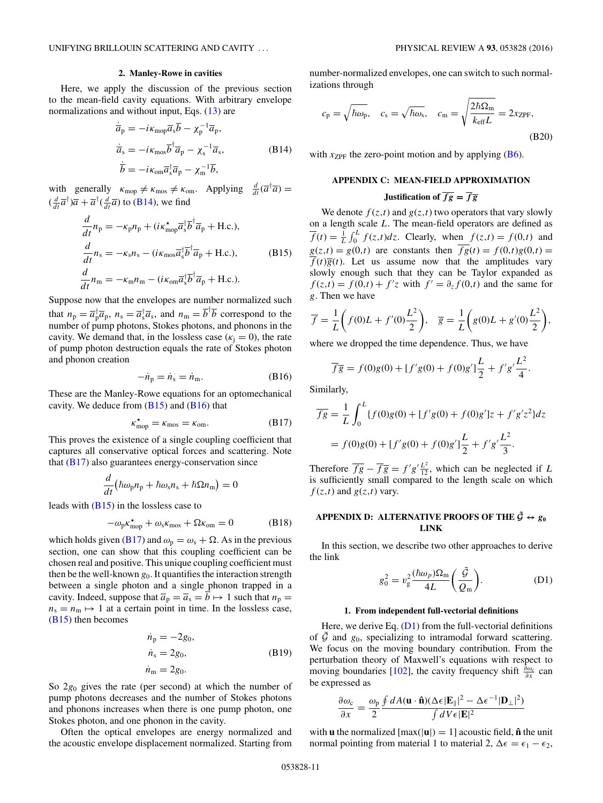### **2. Manley-Rowe in cavities**

<span id="page-10-0"></span>Here, we apply the discussion of the previous section to the mean-field cavity equations. With arbitrary envelope normalizations and without input, Eqs.  $(13)$  are

$$
\dot{\overline{a}}_p = -i\kappa_{\text{mop}}\overline{a}_s\overline{b} - \chi_p^{-1}\overline{a}_p, \n\dot{\overline{a}}_s = -i\kappa_{\text{mos}}\overline{b}^\dagger\overline{a}_p - \chi_s^{-1}\overline{a}_s, \n\dot{\overline{b}} = -i\kappa_{\text{om}}\overline{a}_s^\dagger\overline{a}_p - \chi_m^{-1}\overline{b},
$$
\n(B14)

with generally  $\kappa_{\text{mop}} \neq \kappa_{\text{mos}} \neq \kappa_{\text{om}}$ . Applying  $\frac{d}{dt}(\overline{a}^{\dagger}\overline{a}) =$  $(\frac{d}{dt}\overline{a}^{\dagger})\overline{a} + \overline{a}^{\dagger}(\frac{d}{dt}\overline{a})$  to (B14), we find

$$
\frac{d}{dt}n_{p} = -\kappa_{p}n_{p} + (i\kappa_{\text{mop}}^{\star}\overline{a}_{s}^{\dagger}\overline{b}^{\dagger}\overline{a}_{p} + \text{H.c.}),
$$
\n
$$
\frac{d}{dt}n_{s} = -\kappa_{s}n_{s} - (i\kappa_{\text{mos}}\overline{a}_{s}^{\dagger}\overline{b}^{\dagger}\overline{a}_{p} + \text{H.c.}),
$$
\n
$$
\frac{d}{dt}n_{m} = -\kappa_{m}n_{m} - (i\kappa_{\text{om}}\overline{a}_{s}^{\dagger}\overline{b}^{\dagger}\overline{a}_{p} + \text{H.c.}).
$$
\n(B15)

Suppose now that the envelopes are number normalized such that  $n_p = \overline{a}_p^{\dagger} \overline{a}_p$ ,  $n_s = \overline{a}_s^{\dagger} \overline{a}_s$ , and  $n_m = \overline{b}^{\dagger} \overline{b}$  correspond to the number of pump photons, Stokes photons, and phonons in the cavity. We demand that, in the lossless case ( $\kappa_i = 0$ ), the rate of pump photon destruction equals the rate of Stokes photon and phonon creation

$$
-\dot{n}_{\rm p} = \dot{n}_{\rm s} = \dot{n}_{\rm m}.\tag{B16}
$$

These are the Manley-Rowe equations for an optomechanical cavity. We deduce from  $(B15)$  and  $(B16)$  that

$$
\kappa_{\text{mop}}^{\star} = \kappa_{\text{mos}} = \kappa_{\text{om}}.\tag{B17}
$$

This proves the existence of a single coupling coefficient that captures all conservative optical forces and scattering. Note that  $(B17)$  also guarantees energy-conservation since

$$
\frac{d}{dt}(\hbar\omega_{\rm p}n_{\rm p}+\hbar\omega_{\rm s}n_{\rm s}+\hbar\Omega n_{\rm m})=0
$$

leads with  $(B15)$  in the lossless case to

$$
-\omega_{\rm p} \kappa_{\rm mop}^{\star} + \omega_{\rm s} \kappa_{\rm mos} + \Omega \kappa_{\rm om} = 0 \tag{B18}
$$

which holds given (B17) and  $\omega_p = \omega_s + \Omega$ . As in the previous section, one can show that this coupling coefficient can be chosen real and positive. This unique coupling coefficient must then be the well-known  $g_0$ . It quantifies the interaction strength between a single photon and a single phonon trapped in a cavity. Indeed, suppose that  $\overline{a}_p = \overline{a}_s = \overline{b} \mapsto 1$  such that  $n_p =$  $n_s = n_m \mapsto 1$  at a certain point in time. In the lossless case, (B15) then becomes

$$
\dot{n}_p = -2g_0,
$$
  
\n
$$
\dot{n}_s = 2g_0,
$$
  
\n
$$
\dot{n}_m = 2g_0.
$$
\n(B19)

So 2*g*<sup>0</sup> gives the rate (per second) at which the number of pump photons decreases and the number of Stokes photons and phonons increases when there is one pump photon, one Stokes photon, and one phonon in the cavity.

Often the optical envelopes are energy normalized and the acoustic envelope displacement normalized. Starting from number-normalized envelopes, one can switch to such normalizations through

$$
c_{\rm p} = \sqrt{\hbar \omega_{\rm p}}, \quad c_{\rm s} = \sqrt{\hbar \omega_{\rm s}}, \quad c_{\rm m} = \sqrt{\frac{2\hbar \Omega_{\rm m}}{k_{\rm eff}L}} = 2x_{\rm ZPF},
$$
\n(B20)

with  $x_{ZPF}$  the zero-point motion and by applying  $(B6)$ .

# **APPENDIX C: MEAN-FIELD APPROXIMATION**

# **Justification of**  $\overline{fg} = \overline{fg}$

We denote  $f(z,t)$  and  $g(z,t)$  two operators that vary slowly on a length scale *L*. The mean-field operators are defined as  $\overline{f}(t) = \frac{1}{L} \int_0^L f(z,t) dz$ . Clearly, when  $f(z,t) = f(0,t)$  and  $g(z,t) = g(0,t)$  are constants then  $\overline{fg}(t) = f(0,t)g(0,t) =$  $\overline{f}(t)\overline{g}(t)$ . Let us assume now that the amplitudes vary slowly enough such that they can be Taylor expanded as  $f(z,t) = f(0,t) + f'z$  with  $f' = \partial_z f(0,t)$  and the same for *g*. Then we have

$$
\overline{f} = \frac{1}{L} \left( f(0)L + f'(0)\frac{L^2}{2} \right), \quad \overline{g} = \frac{1}{L} \left( g(0)L + g'(0)\frac{L^2}{2} \right),
$$

where we dropped the time dependence. Thus, we have

$$
\overline{fg} = f(0)g(0) + [f'g(0) + f(0)g']\frac{L}{2} + f'g'\frac{L^2}{4}.
$$

Similarly,

$$
\overline{fg} = \frac{1}{L} \int_0^L \{f(0)g(0) + [f'g(0) + f(0)g']z + f'g'z^2\}dz
$$
  
=  $f(0)g(0) + [f'g(0) + f(0)g']\frac{L}{2} + f'g'\frac{L^2}{3}.$ 

Therefore  $\overline{fg} - \overline{fg} = f'g' \frac{L^2}{12}$ , which can be neglected if *L* is sufficiently small compared to the length scale on which  $f(z,t)$  and  $g(z,t)$  vary.

# **APPENDIX D: ALTERNATIVE PROOFS OF THE**  $\tilde{\mathcal{G}} \leftrightarrow g_0$ **LINK**

In this section, we describe two other approaches to derive the link

$$
g_0^2 = v_g^2 \frac{(\hbar \omega_p) \Omega_m}{4L} \left(\frac{\tilde{\mathcal{G}}}{\mathcal{Q}_m}\right).
$$
 (D1)

#### **1. From independent full-vectorial definitions**

Here, we derive Eq.  $(D1)$  from the full-vectorial definitions of  $\tilde{G}$  and  $g_0$ , specializing to intramodal forward scattering. We focus on the moving boundary contribution. From the perturbation theory of Maxwell's equations with respect to moving boundaries [\[102\]](#page-14-0), the cavity frequency shift  $\frac{\partial \omega_c}{\partial x}$  can be expressed as

$$
\frac{\partial \omega_{\rm c}}{\partial x} = \frac{\omega_{\rm p}}{2} \frac{\oint dA (\mathbf{u} \cdot \hat{\mathbf{n}}) (\Delta \epsilon |\mathbf{E}_{\parallel}|^2 - \Delta \epsilon^{-1} |\mathbf{D}_{\perp}|^2)}{\int dV \epsilon |\mathbf{E}|^2}
$$

with **u** the normalized  $[\max(|\mathbf{u}|) = 1]$  acoustic field,  $\hat{\mathbf{n}}$  the unit normal pointing from material 1 to material 2,  $\Delta \epsilon = \epsilon_1 - \epsilon_2$ ,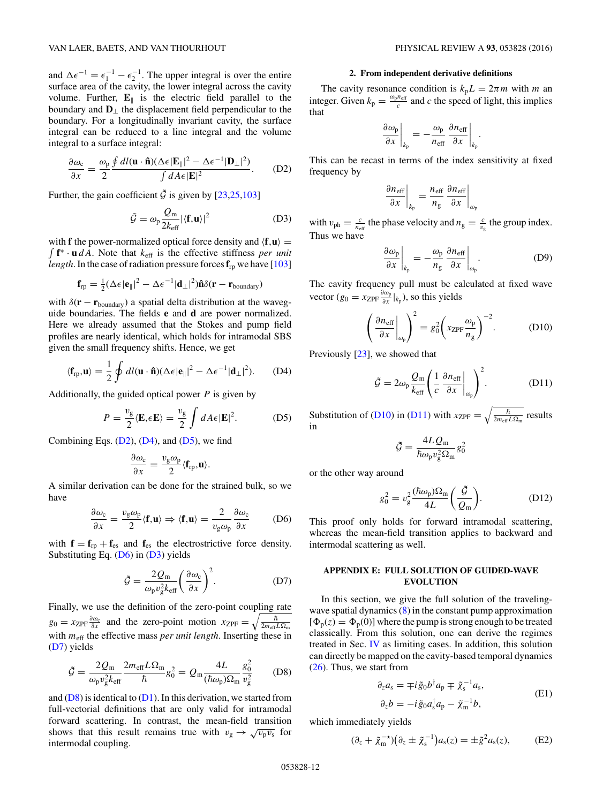<span id="page-11-0"></span>and  $\Delta \epsilon^{-1} = \epsilon_1^{-1} - \epsilon_2^{-1}$ . The upper integral is over the entire surface area of the cavity, the lower integral across the cavity volume. Further,  $\mathbf{E}_{\parallel}$  is the electric field parallel to the boundary and  $\mathbf{D}_\perp$  the displacement field perpendicular to the boundary. For a longitudinally invariant cavity, the surface integral can be reduced to a line integral and the volume integral to a surface integral:

$$
\frac{\partial \omega_{\rm c}}{\partial x} = \frac{\omega_{\rm p}}{2} \frac{\oint dl(\mathbf{u} \cdot \hat{\mathbf{n}})(\Delta \epsilon |\mathbf{E}_{\parallel}|^2 - \Delta \epsilon^{-1} |\mathbf{D}_{\perp}|^2)}{\int dA \epsilon |\mathbf{E}|^2}.
$$
 (D2)

Further, the gain coefficient  $\tilde{\mathcal{G}}$  is given by [\[23,25](#page-12-0)[,103\]](#page-14-0)

$$
\tilde{\mathcal{G}} = \omega_{\rm p} \frac{Q_{\rm m}}{2k_{\rm eff}} |\langle \mathbf{f}, \mathbf{u} \rangle|^2 \tag{D3}
$$

with **f** the power-normalized optical force density and  $\langle \mathbf{f}, \mathbf{u} \rangle =$  **f**<sup>∗</sup> · **u** *dA*. Note that *k*eff is the effective stiffness *per unit length*. In the case of radiation pressure forces  $f_{rp}$  we have [\[103\]](#page-14-0)

$$
\mathbf{f}_{rp} = \frac{1}{2} (\Delta \epsilon |\mathbf{e}_{\parallel}|^2 - \Delta \epsilon^{-1} |\mathbf{d}_{\perp}|^2) \hat{\mathbf{n}} \delta(\mathbf{r} - \mathbf{r}_{\text{boundary}})
$$

with  $\delta(\mathbf{r} - \mathbf{r}_{\text{boundary}})$  a spatial delta distribution at the waveguide boundaries. The fields **e** and **d** are power normalized. Here we already assumed that the Stokes and pump field profiles are nearly identical, which holds for intramodal SBS given the small frequency shifts. Hence, we get

$$
\langle \mathbf{f}_{\mathrm{rp}}, \mathbf{u} \rangle = \frac{1}{2} \oint dl(\mathbf{u} \cdot \hat{\mathbf{n}}) (\Delta \epsilon |\mathbf{e}_{\parallel}|^2 - \Delta \epsilon^{-1} |\mathbf{d}_{\perp}|^2). \tag{D4}
$$

Additionally, the guided optical power *P* is given by

$$
P = \frac{v_{\rm g}}{2} \langle \mathbf{E}, \epsilon \mathbf{E} \rangle = \frac{v_{\rm g}}{2} \int dA \epsilon |\mathbf{E}|^2.
$$
 (D5)

Combining Eqs.  $(D2)$ ,  $(D4)$ , and  $(D5)$ , we find

$$
\frac{\partial \omega_{\rm c}}{\partial x} = \frac{v_{\rm g} \omega_{\rm p}}{2} \langle \mathbf{f}_{\rm rp}, \mathbf{u} \rangle.
$$

A similar derivation can be done for the strained bulk, so we have

$$
\frac{\partial \omega_{\rm c}}{\partial x} = \frac{v_{\rm g} \omega_{\rm p}}{2} \langle \mathbf{f}, \mathbf{u} \rangle \Rightarrow \langle \mathbf{f}, \mathbf{u} \rangle = \frac{2}{v_{\rm g} \omega_{\rm p}} \frac{\partial \omega_{\rm c}}{\partial x} \tag{D6}
$$

with  $\mathbf{f} = \mathbf{f}_{\text{rp}} + \mathbf{f}_{\text{es}}$  and  $\mathbf{f}_{\text{es}}$  the electrostrictive force density. Substituting Eq. (D6) in (D3) yields

$$
\tilde{\mathcal{G}} = \frac{2Q_{\rm m}}{\omega_{\rm p}v_{\rm g}^2k_{\rm eff}} \left(\frac{\partial \omega_{\rm c}}{\partial x}\right)^2.
$$
 (D7)

Finally, we use the definition of the zero-point coupling rate  $g_0 = x_{\text{ZPF}} \frac{\partial \omega_c}{\partial x}$  and the zero-point motion  $x_{\text{ZPF}} = \sqrt{\frac{\hbar}{2m_{\text{eff}}L\Omega_{\text{m}}}}$ with  $m_{\text{eff}}$  the effective mass *per unit length*. Inserting these in (D7) yields

$$
\tilde{\mathcal{G}} = \frac{2Q_{\rm m}}{\omega_{\rm p}v_{\rm g}^2 k_{\rm eff}} \frac{2m_{\rm eff}L\Omega_{\rm m}}{\hbar}g_0^2 = Q_{\rm m} \frac{4L}{(\hbar\omega_{\rm p})\Omega_{\rm m}} \frac{g_0^2}{v_{\rm g}^2} \qquad (D8)
$$

and  $(D8)$  is identical to  $(D1)$ . In this derivation, we started from full-vectorial definitions that are only valid for intramodal forward scattering. In contrast, the mean-field transition shows that this result remains true with  $v_{\rm g} \rightarrow \sqrt{v_{\rm p} v_{\rm s}}$  for intermodal coupling.

#### **2. From independent derivative definitions**

The cavity resonance condition is  $k_p L = 2\pi m$  with *m* an integer. Given  $k_p = \frac{\omega_p n_{\text{eff}}}{c}$  and *c* the speed of light, this implies that

$$
\left. \frac{\partial \omega_{\rm p}}{\partial x} \right|_{k_{\rm p}} = -\frac{\omega_{\rm p}}{n_{\rm eff}} \left. \frac{\partial n_{\rm eff}}{\partial x} \right|_{k_{\rm p}}.
$$

This can be recast in terms of the index sensitivity at fixed frequency by

$$
\left. \frac{\partial n_{\rm eff}}{\partial x} \right|_{k_{\rm p}} = \left. \frac{n_{\rm eff}}{n_{\rm g}} \frac{\partial n_{\rm eff}}{\partial x} \right|_{\omega_{\rm p}}
$$

with  $v_{ph} = \frac{c}{n_{eff}}$  the phase velocity and  $n_g = \frac{c}{v_g}$  the group index. Thus we have

$$
\left. \frac{\partial \omega_{\rm p}}{\partial x} \right|_{k_{\rm p}} = -\frac{\omega_{\rm p}}{n_{\rm g}} \left. \frac{\partial n_{\rm eff}}{\partial x} \right|_{\omega_{\rm p}}.
$$
 (D9)

The cavity frequency pull must be calculated at fixed wave vector ( $g_0 = x_{\text{ZPF}} \frac{\partial \omega_p}{\partial x} |_{k_p}$ ), so this yields

$$
\left(\frac{\partial n_{\text{eff}}}{\partial x}\bigg|_{\omega_p}\right)^2 = g_0^2 \left(x_{\text{ZPF}} \frac{\omega_p}{n_g}\right)^{-2}.\tag{D10}
$$

Previously [\[23\]](#page-12-0), we showed that

$$
\tilde{\mathcal{G}} = 2\omega_{\rm p} \frac{Q_{\rm m}}{k_{\rm eff}} \left( \frac{1}{c} \frac{\partial n_{\rm eff}}{\partial x} \bigg|_{\omega_{\rm p}} \right)^2.
$$
 (D11)

Substitution of (D10) in (D11) with  $x_{\text{ZPF}} = \sqrt{\frac{\hbar}{2m_{\text{eff}}L\Omega_{\text{m}}}}$  results in

$$
\tilde{\mathcal{G}} = \frac{4 L \mathcal{Q}_{\rm m}}{\hbar \omega_{\rm p} v_{\rm g}^2 \Omega_{\rm m}} g_0^2
$$

or the other way around

$$
g_0^2 = v_g^2 \frac{(\hbar \omega_p) \Omega_m}{4L} \left(\frac{\tilde{\mathcal{G}}}{\mathcal{Q}_m}\right).
$$
 (D12)

This proof only holds for forward intramodal scattering, whereas the mean-field transition applies to backward and intermodal scattering as well.

# **APPENDIX E: FULL SOLUTION OF GUIDED-WAVE EVOLUTION**

In this section, we give the full solution of the travelingwave spatial dynamics  $(8)$  in the constant pump approximation  $[\Phi_p(z) = \Phi_p(0)]$  where the pump is strong enough to be treated classically. From this solution, one can derive the regimes treated in Sec. [IV](#page-5-0) as limiting cases. In addition, this solution can directly be mapped on the cavity-based temporal dynamics [\(26\)](#page-5-0). Thus, we start from

$$
\partial_z a_s = \mp i \tilde{g}_0 b^\dagger a_p \mp \tilde{\chi}_s^{-1} a_s,
$$
  
\n
$$
\partial_z b = -i \tilde{g}_0 a_s^\dagger a_p - \tilde{\chi}_m^{-1} b,
$$
\n(E1)

which immediately yields

$$
(\partial_z + \tilde{\chi}_m^{-\star})(\partial_z \pm \tilde{\chi}_s^{-1})a_s(z) = \pm \tilde{g}^2 a_s(z), \quad (E2)
$$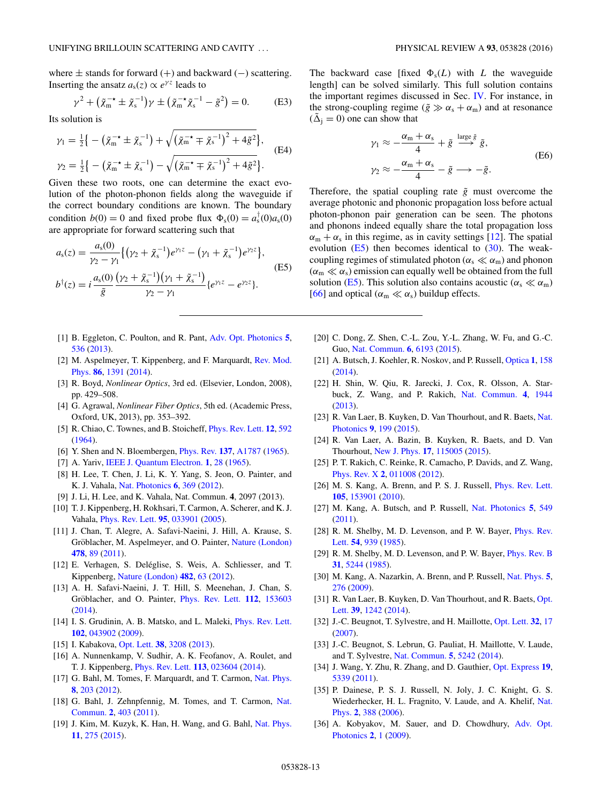<span id="page-12-0"></span>where ± stands for forward (+) and backward (−) scattering. Inserting the ansatz  $a_s(z) \propto e^{\gamma z}$  leads to

$$
\gamma^{2} + (\tilde{\chi}_{m}^{-\star} \pm \tilde{\chi}_{s}^{-1})\gamma \pm (\tilde{\chi}_{m}^{-\star} \tilde{\chi}_{s}^{-1} - \tilde{g}^{2}) = 0.
$$
 (E3)

Its solution is

$$
\gamma_1 = \frac{1}{2} \big\{ - \big( \tilde{\chi}_{m}^{-\star} \pm \tilde{\chi}_{s}^{-1} \big) + \sqrt{\big( \tilde{\chi}_{m}^{-\star} \mp \tilde{\chi}_{s}^{-1} \big)^2 + 4 \tilde{g}^2} \big\},
$$
\n
$$
\gamma_2 = \frac{1}{2} \big\{ - \big( \tilde{\chi}_{m}^{-\star} \pm \tilde{\chi}_{s}^{-1} \big) - \sqrt{\big( \tilde{\chi}_{m}^{-\star} \mp \tilde{\chi}_{s}^{-1} \big)^2 + 4 \tilde{g}^2} \big\}. \tag{E4}
$$

Given these two roots, one can determine the exact evolution of the photon-phonon fields along the waveguide if the correct boundary conditions are known. The boundary condition  $b(0) = 0$  and fixed probe flux  $\Phi_s(0) = a_s^{\dagger}(0) a_s(0)$ are appropriate for forward scattering such that

$$
a_{s}(z) = \frac{a_{s}(0)}{\gamma_{2} - \gamma_{1}} \{ (\gamma_{2} + \tilde{\chi}_{s}^{-1}) e^{\gamma_{1} z} - (\gamma_{1} + \tilde{\chi}_{s}^{-1}) e^{\gamma_{2} z} \},
$$
  
\n
$$
b^{\dagger}(z) = i \frac{a_{s}(0)}{\tilde{g}} \frac{(\gamma_{2} + \tilde{\chi}_{s}^{-1})(\gamma_{1} + \tilde{\chi}_{s}^{-1})}{\gamma_{2} - \gamma_{1}} \{ e^{\gamma_{1} z} - e^{\gamma_{2} z} \}.
$$
\n(E5)

- [1] B. Eggleton, C. Poulton, and R. Pant, [Adv. Opt. Photonics](http://dx.doi.org/10.1364/AOP.5.000536) **[5](http://dx.doi.org/10.1364/AOP.5.000536)**, [536](http://dx.doi.org/10.1364/AOP.5.000536) [\(2013\)](http://dx.doi.org/10.1364/AOP.5.000536).
- [2] [M. Aspelmeyer, T. Kippenberg, and F. Marquardt,](http://dx.doi.org/10.1103/RevModPhys.86.1391) Rev. Mod. Phys. **[86](http://dx.doi.org/10.1103/RevModPhys.86.1391)**, [1391](http://dx.doi.org/10.1103/RevModPhys.86.1391) [\(2014\)](http://dx.doi.org/10.1103/RevModPhys.86.1391).
- [3] R. Boyd, *Nonlinear Optics*, 3rd ed. (Elsevier, London, 2008), pp. 429–508.
- [4] G. Agrawal, *Nonlinear Fiber Optics*, 5th ed. (Academic Press, Oxford, UK, 2013), pp. 353–392.
- [5] R. Chiao, C. Townes, and B. Stoicheff, [Phys. Rev. Lett.](http://dx.doi.org/10.1103/PhysRevLett.12.592) **[12](http://dx.doi.org/10.1103/PhysRevLett.12.592)**, [592](http://dx.doi.org/10.1103/PhysRevLett.12.592) [\(1964\)](http://dx.doi.org/10.1103/PhysRevLett.12.592).
- [6] Y. Shen and N. Bloembergen, [Phys. Rev.](http://dx.doi.org/10.1103/PhysRev.137.A1787) **[137](http://dx.doi.org/10.1103/PhysRev.137.A1787)**, [A1787](http://dx.doi.org/10.1103/PhysRev.137.A1787) [\(1965\)](http://dx.doi.org/10.1103/PhysRev.137.A1787).
- [7] A. Yariv, [IEEE J. Quantum Electron.](http://dx.doi.org/10.1109/JQE.1965.1072182) **[1](http://dx.doi.org/10.1109/JQE.1965.1072182)**, [28](http://dx.doi.org/10.1109/JQE.1965.1072182) [\(1965\)](http://dx.doi.org/10.1109/JQE.1965.1072182).
- [8] H. Lee, T. Chen, J. Li, K. Y. Yang, S. Jeon, O. Painter, and K. J. Vahala, [Nat. Photonics](http://dx.doi.org/10.1038/nphoton.2012.109) **[6](http://dx.doi.org/10.1038/nphoton.2012.109)**, [369](http://dx.doi.org/10.1038/nphoton.2012.109) [\(2012\)](http://dx.doi.org/10.1038/nphoton.2012.109).
- [9] J. Li, H. Lee, and K. Vahala, Nat. Commun. **4**, 2097 (2013).
- [10] T. J. Kippenberg, H. Rokhsari, T. Carmon, A. Scherer, and K. J. Vahala, [Phys. Rev. Lett.](http://dx.doi.org/10.1103/PhysRevLett.95.033901) **[95](http://dx.doi.org/10.1103/PhysRevLett.95.033901)**, [033901](http://dx.doi.org/10.1103/PhysRevLett.95.033901) [\(2005\)](http://dx.doi.org/10.1103/PhysRevLett.95.033901).
- [11] J. Chan, T. Alegre, A. Safavi-Naeini, J. Hill, A. Krause, S. Gröblacher, M. Aspelmeyer, and O. Painter, [Nature \(London\)](http://dx.doi.org/10.1038/nature10461) **[478](http://dx.doi.org/10.1038/nature10461)**, [89](http://dx.doi.org/10.1038/nature10461) [\(2011\)](http://dx.doi.org/10.1038/nature10461).
- [12] E. Verhagen, S. Deléglise, S. Weis, A. Schliesser, and T. Kippenberg, [Nature \(London\)](http://dx.doi.org/10.1038/nature10787) **[482](http://dx.doi.org/10.1038/nature10787)**, [63](http://dx.doi.org/10.1038/nature10787) [\(2012\)](http://dx.doi.org/10.1038/nature10787).
- [13] A. H. Safavi-Naeini, J. T. Hill, S. Meenehan, J. Chan, S. Gröblacher, and O. Painter, *[Phys. Rev. Lett.](http://dx.doi.org/10.1103/PhysRevLett.112.153603)* **[112](http://dx.doi.org/10.1103/PhysRevLett.112.153603)**, [153603](http://dx.doi.org/10.1103/PhysRevLett.112.153603) [\(2014\)](http://dx.doi.org/10.1103/PhysRevLett.112.153603).
- [14] I. S. Grudinin, A. B. Matsko, and L. Maleki, [Phys. Rev. Lett.](http://dx.doi.org/10.1103/PhysRevLett.102.043902) **[102](http://dx.doi.org/10.1103/PhysRevLett.102.043902)**, [043902](http://dx.doi.org/10.1103/PhysRevLett.102.043902) [\(2009\)](http://dx.doi.org/10.1103/PhysRevLett.102.043902).
- [15] I. Kabakova, [Opt. Lett.](http://dx.doi.org/10.1364/OL.38.003208) **[38](http://dx.doi.org/10.1364/OL.38.003208)**, [3208](http://dx.doi.org/10.1364/OL.38.003208) [\(2013\)](http://dx.doi.org/10.1364/OL.38.003208).
- [16] A. Nunnenkamp, V. Sudhir, A. K. Feofanov, A. Roulet, and T. J. Kippenberg, [Phys. Rev. Lett.](http://dx.doi.org/10.1103/PhysRevLett.113.023604) **[113](http://dx.doi.org/10.1103/PhysRevLett.113.023604)**, [023604](http://dx.doi.org/10.1103/PhysRevLett.113.023604) [\(2014\)](http://dx.doi.org/10.1103/PhysRevLett.113.023604).
- [17] G. Bahl, M. Tomes, F. Marquardt, and T. Carmon, [Nat. Phys.](http://dx.doi.org/10.1038/nphys2206) **[8](http://dx.doi.org/10.1038/nphys2206)**, [203](http://dx.doi.org/10.1038/nphys2206) [\(2012\)](http://dx.doi.org/10.1038/nphys2206).
- [18] [G. Bahl, J. Zehnpfennig, M. Tomes, and T. Carmon,](http://dx.doi.org/10.1038/ncomms1412) Nat. Commun. **[2](http://dx.doi.org/10.1038/ncomms1412)**, [403](http://dx.doi.org/10.1038/ncomms1412) [\(2011\)](http://dx.doi.org/10.1038/ncomms1412).
- [19] J. Kim, M. Kuzyk, K. Han, H. Wang, and G. Bahl, [Nat. Phys.](http://dx.doi.org/10.1038/nphys3236) **[11](http://dx.doi.org/10.1038/nphys3236)**, [275](http://dx.doi.org/10.1038/nphys3236) [\(2015\)](http://dx.doi.org/10.1038/nphys3236).

The backward case [fixed  $\Phi_s(L)$  with *L* the waveguide length] can be solved similarly. This full solution contains the important regimes discussed in Sec. [IV.](#page-5-0) For instance, in the strong-coupling regime ( $\tilde{g} \gg \alpha_s + \alpha_m$ ) and at resonance  $(\tilde{\Delta}_{i} = 0)$  one can show that

$$
\gamma_1 \approx -\frac{\alpha_m + \alpha_s}{4} + \tilde{g} \stackrel{\text{large } \tilde{g}}{\longrightarrow} \tilde{g},
$$
  

$$
\gamma_2 \approx -\frac{\alpha_m + \alpha_s}{4} - \tilde{g} \longrightarrow -\tilde{g}.
$$
 (E6)

Therefore, the spatial coupling rate  $\tilde{g}$  must overcome the average photonic and phononic propagation loss before actual photon-phonon pair generation can be seen. The photons and phonons indeed equally share the total propagation loss  $\alpha_{\rm m} + \alpha_{\rm s}$  in this regime, as in cavity settings [12]. The spatial evolution  $(E5)$  then becomes identical to  $(30)$ . The weakcoupling regimes of stimulated photon ( $\alpha_s \ll \alpha_m$ ) and phonon  $(\alpha_m \ll \alpha_s)$  emission can equally well be obtained from the full solution (E5). This solution also contains acoustic ( $\alpha_s \ll \alpha_m$ ) [\[66\]](#page-13-0) and optical ( $\alpha_m \ll \alpha_s$ ) buildup effects.

- [20] C. Dong, Z. Shen, C.-L. Zou, Y.-L. Zhang, W. Fu, and G.-C. Guo, [Nat. Commun.](http://dx.doi.org/10.1038/ncomms7193) **[6](http://dx.doi.org/10.1038/ncomms7193)**, [6193](http://dx.doi.org/10.1038/ncomms7193) [\(2015\)](http://dx.doi.org/10.1038/ncomms7193).
- [21] A. Butsch, J. Koehler, R. Noskov, and P. Russell, [Optica](http://dx.doi.org/10.1364/OPTICA.1.000158) **[1](http://dx.doi.org/10.1364/OPTICA.1.000158)**, [158](http://dx.doi.org/10.1364/OPTICA.1.000158) [\(2014\)](http://dx.doi.org/10.1364/OPTICA.1.000158).
- [22] H. Shin, W. Qiu, R. Jarecki, J. Cox, R. Olsson, A. Starbuck, Z. Wang, and P. Rakich, [Nat. Commun.](http://dx.doi.org/10.1038/ncomms2943) **[4](http://dx.doi.org/10.1038/ncomms2943)**, [1944](http://dx.doi.org/10.1038/ncomms2943) [\(2013\)](http://dx.doi.org/10.1038/ncomms2943).
- [23] [R. Van Laer, B. Kuyken, D. Van Thourhout, and R. Baets,](http://dx.doi.org/10.1038/nphoton.2015.11) Nat. Photonics **[9](http://dx.doi.org/10.1038/nphoton.2015.11)**, [199](http://dx.doi.org/10.1038/nphoton.2015.11) [\(2015\)](http://dx.doi.org/10.1038/nphoton.2015.11).
- [24] R. Van Laer, A. Bazin, B. Kuyken, R. Baets, and D. Van Thourhout, [New J. Phys.](http://dx.doi.org/10.1088/1367-2630/17/11/115005) **[17](http://dx.doi.org/10.1088/1367-2630/17/11/115005)**, [115005](http://dx.doi.org/10.1088/1367-2630/17/11/115005) [\(2015\)](http://dx.doi.org/10.1088/1367-2630/17/11/115005).
- [25] P. T. Rakich, C. Reinke, R. Camacho, P. Davids, and Z. Wang, [Phys. Rev. X](http://dx.doi.org/10.1103/PhysRevX.2.011008) **[2](http://dx.doi.org/10.1103/PhysRevX.2.011008)**, [011008](http://dx.doi.org/10.1103/PhysRevX.2.011008) [\(2012\)](http://dx.doi.org/10.1103/PhysRevX.2.011008).
- [26] M. S. Kang, A. Brenn, and P. S. J. Russell, [Phys. Rev. Lett.](http://dx.doi.org/10.1103/PhysRevLett.105.153901) **[105](http://dx.doi.org/10.1103/PhysRevLett.105.153901)**, [153901](http://dx.doi.org/10.1103/PhysRevLett.105.153901) [\(2010\)](http://dx.doi.org/10.1103/PhysRevLett.105.153901).
- [27] M. Kang, A. Butsch, and P. Russell, [Nat. Photonics](http://dx.doi.org/10.1038/nphoton.2011.180) **[5](http://dx.doi.org/10.1038/nphoton.2011.180)**, [549](http://dx.doi.org/10.1038/nphoton.2011.180) [\(2011\)](http://dx.doi.org/10.1038/nphoton.2011.180).
- [28] [R. M. Shelby, M. D. Levenson, and P. W. Bayer,](http://dx.doi.org/10.1103/PhysRevLett.54.939) *Phys. Rev.* Lett. **[54](http://dx.doi.org/10.1103/PhysRevLett.54.939)**, [939](http://dx.doi.org/10.1103/PhysRevLett.54.939) [\(1985\)](http://dx.doi.org/10.1103/PhysRevLett.54.939).
- [29] R. M. Shelby, M. D. Levenson, and P. W. Bayer, *[Phys. Rev. B](http://dx.doi.org/10.1103/PhysRevB.31.5244)* **[31](http://dx.doi.org/10.1103/PhysRevB.31.5244)**, [5244](http://dx.doi.org/10.1103/PhysRevB.31.5244) [\(1985\)](http://dx.doi.org/10.1103/PhysRevB.31.5244).
- [30] M. Kang, A. Nazarkin, A. Brenn, and P. Russell, [Nat. Phys.](http://dx.doi.org/10.1038/nphys1217) **[5](http://dx.doi.org/10.1038/nphys1217)**, [276](http://dx.doi.org/10.1038/nphys1217) [\(2009\)](http://dx.doi.org/10.1038/nphys1217).
- [31] [R. Van Laer, B. Kuyken, D. Van Thourhout, and R. Baets,](http://dx.doi.org/10.1364/OL.39.001242) Opt. Lett. **[39](http://dx.doi.org/10.1364/OL.39.001242)**, [1242](http://dx.doi.org/10.1364/OL.39.001242) [\(2014\)](http://dx.doi.org/10.1364/OL.39.001242).
- [32] J.-C. Beugnot, T. Sylvestre, and H. Maillotte, [Opt. Lett.](http://dx.doi.org/10.1364/OL.32.000017) **[32](http://dx.doi.org/10.1364/OL.32.000017)**, [17](http://dx.doi.org/10.1364/OL.32.000017) [\(2007\)](http://dx.doi.org/10.1364/OL.32.000017).
- [33] J.-C. Beugnot, S. Lebrun, G. Pauliat, H. Maillotte, V. Laude, and T. Sylvestre, [Nat. Commun.](http://dx.doi.org/10.1038/ncomms6242) **[5](http://dx.doi.org/10.1038/ncomms6242)**, [5242](http://dx.doi.org/10.1038/ncomms6242) [\(2014\)](http://dx.doi.org/10.1038/ncomms6242).
- [34] J. Wang, Y. Zhu, R. Zhang, and D. Gauthier, [Opt. Express](http://dx.doi.org/10.1364/OE.19.005339) **[19](http://dx.doi.org/10.1364/OE.19.005339)**, [5339](http://dx.doi.org/10.1364/OE.19.005339) [\(2011\)](http://dx.doi.org/10.1364/OE.19.005339).
- [35] P. Dainese, P. S. J. Russell, N. Joly, J. C. Knight, G. S. [Wiederhecker, H. L. Fragnito, V. Laude, and A. Khelif,](http://dx.doi.org/10.1038/nphys315) Nat. Phys. **[2](http://dx.doi.org/10.1038/nphys315)**, [388](http://dx.doi.org/10.1038/nphys315) [\(2006\)](http://dx.doi.org/10.1038/nphys315).
- [36] [A. Kobyakov, M. Sauer, and D. Chowdhury,](http://dx.doi.org/10.1364/AOP.2.000001) Adv. Opt. Photonics **[2](http://dx.doi.org/10.1364/AOP.2.000001)**, [1](http://dx.doi.org/10.1364/AOP.2.000001) [\(2009\)](http://dx.doi.org/10.1364/AOP.2.000001).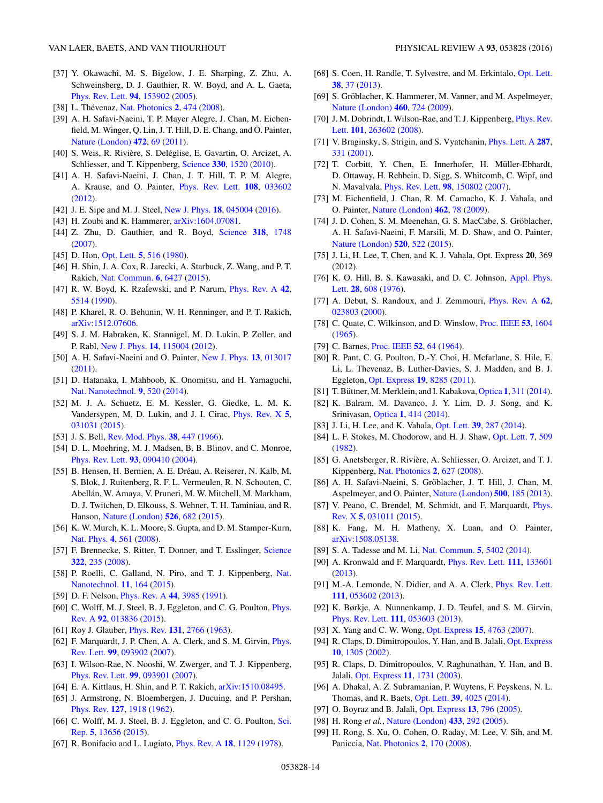- <span id="page-13-0"></span>[37] Y. Okawachi, M. S. Bigelow, J. E. Sharping, Z. Zhu, A. Schweinsberg, D. J. Gauthier, R. W. Boyd, and A. L. Gaeta, [Phys. Rev. Lett.](http://dx.doi.org/10.1103/PhysRevLett.94.153902) **[94](http://dx.doi.org/10.1103/PhysRevLett.94.153902)**, [153902](http://dx.doi.org/10.1103/PhysRevLett.94.153902) [\(2005\)](http://dx.doi.org/10.1103/PhysRevLett.94.153902).
- [38] L. Thévenaz, [Nat. Photonics](http://dx.doi.org/10.1038/nphoton.2008.147) [2](http://dx.doi.org/10.1038/nphoton.2008.147), [474](http://dx.doi.org/10.1038/nphoton.2008.147) [\(2008\)](http://dx.doi.org/10.1038/nphoton.2008.147).
- [39] A. H. Safavi-Naeini, T. P. Mayer Alegre, J. Chan, M. Eichenfield, M. Winger, Q. Lin, J. T. Hill, D. E. Chang, and O. Painter, [Nature \(London\)](http://dx.doi.org/10.1038/nature09933) **[472](http://dx.doi.org/10.1038/nature09933)**, [69](http://dx.doi.org/10.1038/nature09933) [\(2011\)](http://dx.doi.org/10.1038/nature09933).
- [40] S. Weis, R. Rivière, S. Deléglise, E. Gavartin, O. Arcizet, A. Schliesser, and T. Kippenberg, [Science](http://dx.doi.org/10.1126/science.1195596) **[330](http://dx.doi.org/10.1126/science.1195596)**, [1520](http://dx.doi.org/10.1126/science.1195596) [\(2010\)](http://dx.doi.org/10.1126/science.1195596).
- [41] A. H. Safavi-Naeini, J. Chan, J. T. Hill, T. P. M. Alegre, A. Krause, and O. Painter, [Phys. Rev. Lett.](http://dx.doi.org/10.1103/PhysRevLett.108.033602) **[108](http://dx.doi.org/10.1103/PhysRevLett.108.033602)**, [033602](http://dx.doi.org/10.1103/PhysRevLett.108.033602) [\(2012\)](http://dx.doi.org/10.1103/PhysRevLett.108.033602).
- [42] J. E. Sipe and M. J. Steel, [New J. Phys.](http://dx.doi.org/10.1088/1367-2630/18/4/045004) **[18](http://dx.doi.org/10.1088/1367-2630/18/4/045004)**, [045004](http://dx.doi.org/10.1088/1367-2630/18/4/045004) [\(2016\)](http://dx.doi.org/10.1088/1367-2630/18/4/045004).
- [43] H. Zoubi and K. Hammerer,  $arXiv:1604.07081$ .
- [44] Z. Zhu, D. Gauthier, and R. Boyd, [Science](http://dx.doi.org/10.1126/science.1149066) **[318](http://dx.doi.org/10.1126/science.1149066)**, [1748](http://dx.doi.org/10.1126/science.1149066) [\(2007\)](http://dx.doi.org/10.1126/science.1149066).
- [45] D. Hon, [Opt. Lett.](http://dx.doi.org/10.1364/OL.5.000516) **[5](http://dx.doi.org/10.1364/OL.5.000516)**, [516](http://dx.doi.org/10.1364/OL.5.000516) [\(1980\)](http://dx.doi.org/10.1364/OL.5.000516).
- [46] H. Shin, J. A. Cox, R. Jarecki, A. Starbuck, Z. Wang, and P. T. Rakich, [Nat. Commun.](http://dx.doi.org/10.1038/ncomms7427) **[6](http://dx.doi.org/10.1038/ncomms7427)**, [6427](http://dx.doi.org/10.1038/ncomms7427) [\(2015\)](http://dx.doi.org/10.1038/ncomms7427).
- [47] R. W. Boyd, K. RzaÍewski, and P. Narum, *[Phys. Rev. A](http://dx.doi.org/10.1103/PhysRevA.42.5514)* [42](http://dx.doi.org/10.1103/PhysRevA.42.5514), [5514](http://dx.doi.org/10.1103/PhysRevA.42.5514) [\(1990\)](http://dx.doi.org/10.1103/PhysRevA.42.5514).
- [48] P. Kharel, R. O. Behunin, W. H. Renninger, and P. T. Rakich, [arXiv:1512.07606.](http://arxiv.org/abs/arXiv:1512.07606)
- [49] S. J. M. Habraken, K. Stannigel, M. D. Lukin, P. Zoller, and P. Rabl, [New J. Phys.](http://dx.doi.org/10.1088/1367-2630/14/11/115004) **[14](http://dx.doi.org/10.1088/1367-2630/14/11/115004)**, [115004](http://dx.doi.org/10.1088/1367-2630/14/11/115004) [\(2012\)](http://dx.doi.org/10.1088/1367-2630/14/11/115004).
- [50] A. H. Safavi-Naeini and O. Painter, [New J. Phys.](http://dx.doi.org/10.1088/1367-2630/13/1/013017) **[13](http://dx.doi.org/10.1088/1367-2630/13/1/013017)**, [013017](http://dx.doi.org/10.1088/1367-2630/13/1/013017) [\(2011\)](http://dx.doi.org/10.1088/1367-2630/13/1/013017).
- [51] D. Hatanaka, I. Mahboob, K. Onomitsu, and H. Yamaguchi, [Nat. Nanotechnol.](http://dx.doi.org/10.1038/nnano.2014.107) **[9](http://dx.doi.org/10.1038/nnano.2014.107)**, [520](http://dx.doi.org/10.1038/nnano.2014.107) [\(2014\)](http://dx.doi.org/10.1038/nnano.2014.107).
- [52] M. J. A. Schuetz, E. M. Kessler, G. Giedke, L. M. K. Vandersypen, M. D. Lukin, and J. I. Cirac, [Phys. Rev. X](http://dx.doi.org/10.1103/PhysRevX.5.031031) **[5](http://dx.doi.org/10.1103/PhysRevX.5.031031)**, [031031](http://dx.doi.org/10.1103/PhysRevX.5.031031) [\(2015\)](http://dx.doi.org/10.1103/PhysRevX.5.031031).
- [53] J. S. Bell, [Rev. Mod. Phys.](http://dx.doi.org/10.1103/RevModPhys.38.447) **[38](http://dx.doi.org/10.1103/RevModPhys.38.447)**, [447](http://dx.doi.org/10.1103/RevModPhys.38.447) [\(1966\)](http://dx.doi.org/10.1103/RevModPhys.38.447).
- [54] D. L. Moehring, M. J. Madsen, B. B. Blinov, and C. Monroe, [Phys. Rev. Lett.](http://dx.doi.org/10.1103/PhysRevLett.93.090410) **[93](http://dx.doi.org/10.1103/PhysRevLett.93.090410)**, [090410](http://dx.doi.org/10.1103/PhysRevLett.93.090410) [\(2004\)](http://dx.doi.org/10.1103/PhysRevLett.93.090410).
- [55] B. Hensen, H. Bernien, A. E. Dréau, A. Reiserer, N. Kalb, M. S. Blok, J. Ruitenberg, R. F. L. Vermeulen, R. N. Schouten, C. Abellán, W. Amaya, V. Pruneri, M. W. Mitchell, M. Markham, D. J. Twitchen, D. Elkouss, S. Wehner, T. H. Taminiau, and R. Hanson, [Nature \(London\)](http://dx.doi.org/10.1038/nature15759) **[526](http://dx.doi.org/10.1038/nature15759)**, [682](http://dx.doi.org/10.1038/nature15759) [\(2015\)](http://dx.doi.org/10.1038/nature15759).
- [56] K. W. Murch, K. L. Moore, S. Gupta, and D. M. Stamper-Kurn, [Nat. Phys.](http://dx.doi.org/10.1038/nphys965) **[4](http://dx.doi.org/10.1038/nphys965)**, [561](http://dx.doi.org/10.1038/nphys965) [\(2008\)](http://dx.doi.org/10.1038/nphys965).
- [57] F. Brennecke, S. Ritter, T. Donner, and T. Esslinger, [Science](http://dx.doi.org/10.1126/science.1163218) **[322](http://dx.doi.org/10.1126/science.1163218)**, [235](http://dx.doi.org/10.1126/science.1163218) [\(2008\)](http://dx.doi.org/10.1126/science.1163218).
- [58] [P. Roelli, C. Galland, N. Piro, and T. J. Kippenberg,](http://dx.doi.org/10.1038/nnano.2015.264) Nat. Nanotechnol. **[11](http://dx.doi.org/10.1038/nnano.2015.264)**, [164](http://dx.doi.org/10.1038/nnano.2015.264) [\(2015\)](http://dx.doi.org/10.1038/nnano.2015.264).
- [59] D. F. Nelson, [Phys. Rev. A](http://dx.doi.org/10.1103/PhysRevA.44.3985) **[44](http://dx.doi.org/10.1103/PhysRevA.44.3985)**, [3985](http://dx.doi.org/10.1103/PhysRevA.44.3985) [\(1991\)](http://dx.doi.org/10.1103/PhysRevA.44.3985).
- [60] [C. Wolff, M. J. Steel, B. J. Eggleton, and C. G. Poulton,](http://dx.doi.org/10.1103/PhysRevA.92.013836) *Phys.* Rev. A **[92](http://dx.doi.org/10.1103/PhysRevA.92.013836)**, [013836](http://dx.doi.org/10.1103/PhysRevA.92.013836) [\(2015\)](http://dx.doi.org/10.1103/PhysRevA.92.013836).
- [61] Roy J. Glauber, [Phys. Rev.](http://dx.doi.org/10.1103/PhysRev.131.2766) **[131](http://dx.doi.org/10.1103/PhysRev.131.2766)**, [2766](http://dx.doi.org/10.1103/PhysRev.131.2766) [\(1963\)](http://dx.doi.org/10.1103/PhysRev.131.2766).
- [62] [F. Marquardt, J. P. Chen, A. A. Clerk, and S. M. Girvin,](http://dx.doi.org/10.1103/PhysRevLett.99.093902) *Phys.* Rev. Lett. **[99](http://dx.doi.org/10.1103/PhysRevLett.99.093902)**, [093902](http://dx.doi.org/10.1103/PhysRevLett.99.093902) [\(2007\)](http://dx.doi.org/10.1103/PhysRevLett.99.093902).
- [63] I. Wilson-Rae, N. Nooshi, W. Zwerger, and T. J. Kippenberg, [Phys. Rev. Lett.](http://dx.doi.org/10.1103/PhysRevLett.99.093901) **[99](http://dx.doi.org/10.1103/PhysRevLett.99.093901)**, [093901](http://dx.doi.org/10.1103/PhysRevLett.99.093901) [\(2007\)](http://dx.doi.org/10.1103/PhysRevLett.99.093901).
- [64] E. A. Kittlaus, H. Shin, and P. T. Rakich, [arXiv:1510.08495.](http://arxiv.org/abs/arXiv:1510.08495)
- [65] J. Armstrong, N. Bloembergen, J. Ducuing, and P. Pershan, [Phys. Rev.](http://dx.doi.org/10.1103/PhysRev.127.1918) **[127](http://dx.doi.org/10.1103/PhysRev.127.1918)**, [1918](http://dx.doi.org/10.1103/PhysRev.127.1918) [\(1962\)](http://dx.doi.org/10.1103/PhysRev.127.1918).
- [66] [C. Wolff, M. J. Steel, B. J. Eggleton, and C. G. Poulton,](http://dx.doi.org/10.1038/srep13656) Sci. Rep. **[5](http://dx.doi.org/10.1038/srep13656)**, [13656](http://dx.doi.org/10.1038/srep13656) [\(2015\)](http://dx.doi.org/10.1038/srep13656).
- [67] R. Bonifacio and L. Lugiato, [Phys. Rev. A](http://dx.doi.org/10.1103/PhysRevA.18.1129) **[18](http://dx.doi.org/10.1103/PhysRevA.18.1129)**, [1129](http://dx.doi.org/10.1103/PhysRevA.18.1129) [\(1978\)](http://dx.doi.org/10.1103/PhysRevA.18.1129).
- [68] S. Coen, H. Randle, T. Sylvestre, and M. Erkintalo, [Opt. Lett.](http://dx.doi.org/10.1364/OL.38.000037) **[38](http://dx.doi.org/10.1364/OL.38.000037)**, [37](http://dx.doi.org/10.1364/OL.38.000037) [\(2013\)](http://dx.doi.org/10.1364/OL.38.000037).
- [69] S. Gröblacher, K. Hammerer, M. Vanner, and M. Aspelmeyer, [Nature \(London\)](http://dx.doi.org/10.1038/nature08171) **[460](http://dx.doi.org/10.1038/nature08171)**, [724](http://dx.doi.org/10.1038/nature08171) [\(2009\)](http://dx.doi.org/10.1038/nature08171).
- [70] [J. M. Dobrindt, I. Wilson-Rae, and T. J. Kippenberg,](http://dx.doi.org/10.1103/PhysRevLett.101.263602) *Phys. Rev.* Lett. **[101](http://dx.doi.org/10.1103/PhysRevLett.101.263602)**, [263602](http://dx.doi.org/10.1103/PhysRevLett.101.263602) [\(2008\)](http://dx.doi.org/10.1103/PhysRevLett.101.263602).
- [71] V. Braginsky, S. Strigin, and S. Vyatchanin, [Phys. Lett. A](http://dx.doi.org/10.1016/S0375-9601(01)00510-2) **[287](http://dx.doi.org/10.1016/S0375-9601(01)00510-2)**, [331](http://dx.doi.org/10.1016/S0375-9601(01)00510-2) [\(2001\)](http://dx.doi.org/10.1016/S0375-9601(01)00510-2).
- [72] T. Corbitt, Y. Chen, E. Innerhofer, H. Müller-Ebhardt, D. Ottaway, H. Rehbein, D. Sigg, S. Whitcomb, C. Wipf, and N. Mavalvala, [Phys. Rev. Lett.](http://dx.doi.org/10.1103/PhysRevLett.98.150802) **[98](http://dx.doi.org/10.1103/PhysRevLett.98.150802)**, [150802](http://dx.doi.org/10.1103/PhysRevLett.98.150802) [\(2007\)](http://dx.doi.org/10.1103/PhysRevLett.98.150802).
- [73] M. Eichenfield, J. Chan, R. M. Camacho, K. J. Vahala, and O. Painter, [Nature \(London\)](http://dx.doi.org/10.1038/nature08524) **[462](http://dx.doi.org/10.1038/nature08524)**, [78](http://dx.doi.org/10.1038/nature08524) [\(2009\)](http://dx.doi.org/10.1038/nature08524).
- [74] J. D. Cohen, S. M. Meenehan, G. S. MacCabe, S. Gröblacher, A. H. Safavi-Naeini, F. Marsili, M. D. Shaw, and O. Painter, [Nature \(London\)](http://dx.doi.org/10.1038/nature14349) **[520](http://dx.doi.org/10.1038/nature14349)**, [522](http://dx.doi.org/10.1038/nature14349) [\(2015\)](http://dx.doi.org/10.1038/nature14349).
- [75] J. Li, H. Lee, T. Chen, and K. J. Vahala, Opt. Express **20**, 369 (2012).
- [76] [K. O. Hill, B. S. Kawasaki, and D. C. Johnson,](http://dx.doi.org/10.1063/1.88583) Appl. Phys. Lett. **[28](http://dx.doi.org/10.1063/1.88583)**, [608](http://dx.doi.org/10.1063/1.88583) [\(1976\)](http://dx.doi.org/10.1063/1.88583).
- [77] A. Debut, S. Randoux, and J. Zemmouri, [Phys. Rev. A](http://dx.doi.org/10.1103/PhysRevA.62.023803) **[62](http://dx.doi.org/10.1103/PhysRevA.62.023803)**, [023803](http://dx.doi.org/10.1103/PhysRevA.62.023803) [\(2000\)](http://dx.doi.org/10.1103/PhysRevA.62.023803).
- [78] C. Quate, C. Wilkinson, and D. Winslow, [Proc. IEEE](http://dx.doi.org/10.1109/PROC.1965.4270) **[53](http://dx.doi.org/10.1109/PROC.1965.4270)**, [1604](http://dx.doi.org/10.1109/PROC.1965.4270) [\(1965\)](http://dx.doi.org/10.1109/PROC.1965.4270).
- [79] C. Barnes, [Proc. IEEE](http://dx.doi.org/10.1109/PROC.1964.2743) **[52](http://dx.doi.org/10.1109/PROC.1964.2743)**, [64](http://dx.doi.org/10.1109/PROC.1964.2743) [\(1964\)](http://dx.doi.org/10.1109/PROC.1964.2743).
- [80] R. Pant, C. G. Poulton, D.-Y. Choi, H. Mcfarlane, S. Hile, E. Li, L. Thevenaz, B. Luther-Davies, S. J. Madden, and B. J. Eggleton, [Opt. Express](http://dx.doi.org/10.1364/OE.19.008285) **[19](http://dx.doi.org/10.1364/OE.19.008285)**, [8285](http://dx.doi.org/10.1364/OE.19.008285) [\(2011\)](http://dx.doi.org/10.1364/OE.19.008285).
- [81] T. Büttner, M. Merklein, and I. Kabakova, [Optica](http://dx.doi.org/10.1364/OPTICA.1.000311) [1](http://dx.doi.org/10.1364/OPTICA.1.000311), [311](http://dx.doi.org/10.1364/OPTICA.1.000311) [\(2014\)](http://dx.doi.org/10.1364/OPTICA.1.000311).
- [82] K. Balram, M. Davanco, J. Y. Lim, D. J. Song, and K. Srinivasan, [Optica](http://dx.doi.org/10.1364/OPTICA.1.000414) **[1](http://dx.doi.org/10.1364/OPTICA.1.000414)**, [414](http://dx.doi.org/10.1364/OPTICA.1.000414) [\(2014\)](http://dx.doi.org/10.1364/OPTICA.1.000414).
- [83] J. Li, H. Lee, and K. Vahala, [Opt. Lett.](http://dx.doi.org/10.1364/OL.39.000287) **[39](http://dx.doi.org/10.1364/OL.39.000287)**, [287](http://dx.doi.org/10.1364/OL.39.000287) [\(2014\)](http://dx.doi.org/10.1364/OL.39.000287).
- [84] L. F. Stokes, M. Chodorow, and H. J. Shaw, [Opt. Lett.](http://dx.doi.org/10.1364/OL.7.000509) **[7](http://dx.doi.org/10.1364/OL.7.000509)**, [509](http://dx.doi.org/10.1364/OL.7.000509) [\(1982\)](http://dx.doi.org/10.1364/OL.7.000509).
- [85] G. Anetsberger, R. Rivière, A. Schliesser, O. Arcizet, and T. J. Kippenberg, [Nat. Photonics](http://dx.doi.org/10.1038/nphoton.2008.199) **[2](http://dx.doi.org/10.1038/nphoton.2008.199)**, [627](http://dx.doi.org/10.1038/nphoton.2008.199) [\(2008\)](http://dx.doi.org/10.1038/nphoton.2008.199).
- [86] A. H. Safavi-Naeini, S. Gröblacher, J. T. Hill, J. Chan, M. Aspelmeyer, and O. Painter, [Nature \(London\)](http://dx.doi.org/10.1038/nature12307) **[500](http://dx.doi.org/10.1038/nature12307)**, [185](http://dx.doi.org/10.1038/nature12307) [\(2013\)](http://dx.doi.org/10.1038/nature12307).
- [87] [V. Peano, C. Brendel, M. Schmidt, and F. Marquardt,](http://dx.doi.org/10.1103/PhysRevX.5.031011) *Phys.* Rev. X **[5](http://dx.doi.org/10.1103/PhysRevX.5.031011)**, [031011](http://dx.doi.org/10.1103/PhysRevX.5.031011) [\(2015\)](http://dx.doi.org/10.1103/PhysRevX.5.031011).
- [88] K. Fang, M. H. Matheny, X. Luan, and O. Painter, [arXiv:1508.05138.](http://arxiv.org/abs/arXiv:1508.05138)
- [89] S. A. Tadesse and M. Li, [Nat. Commun.](http://dx.doi.org/10.1038/ncomms6402) **[5](http://dx.doi.org/10.1038/ncomms6402)**, [5402](http://dx.doi.org/10.1038/ncomms6402) [\(2014\)](http://dx.doi.org/10.1038/ncomms6402).
- [90] A. Kronwald and F. Marquardt, [Phys. Rev. Lett.](http://dx.doi.org/10.1103/PhysRevLett.111.133601) **[111](http://dx.doi.org/10.1103/PhysRevLett.111.133601)**, [133601](http://dx.doi.org/10.1103/PhysRevLett.111.133601) [\(2013\)](http://dx.doi.org/10.1103/PhysRevLett.111.133601).
- [91] M.-A. Lemonde, N. Didier, and A. A. Clerk, *[Phys. Rev. Lett.](http://dx.doi.org/10.1103/PhysRevLett.111.053602)* **[111](http://dx.doi.org/10.1103/PhysRevLett.111.053602)**, [053602](http://dx.doi.org/10.1103/PhysRevLett.111.053602) [\(2013\)](http://dx.doi.org/10.1103/PhysRevLett.111.053602).
- [92] K. Børkje, A. Nunnenkamp, J. D. Teufel, and S. M. Girvin, [Phys. Rev. Lett.](http://dx.doi.org/10.1103/PhysRevLett.111.053603) **[111](http://dx.doi.org/10.1103/PhysRevLett.111.053603)**, [053603](http://dx.doi.org/10.1103/PhysRevLett.111.053603) [\(2013\)](http://dx.doi.org/10.1103/PhysRevLett.111.053603).
- [93] X. Yang and C. W. Wong, [Opt. Express](http://dx.doi.org/10.1364/OE.15.004763) **[15](http://dx.doi.org/10.1364/OE.15.004763)**, [4763](http://dx.doi.org/10.1364/OE.15.004763) [\(2007\)](http://dx.doi.org/10.1364/OE.15.004763).
- [94] R. Claps, D. Dimitropoulos, Y. Han, and B. Jalali, [Opt. Express](http://dx.doi.org/10.1364/OE.10.001305) **[10](http://dx.doi.org/10.1364/OE.10.001305)**, [1305](http://dx.doi.org/10.1364/OE.10.001305) [\(2002\)](http://dx.doi.org/10.1364/OE.10.001305).
- [95] R. Claps, D. Dimitropoulos, V. Raghunathan, Y. Han, and B. Jalali, [Opt. Express](http://dx.doi.org/10.1364/OE.11.001731) **[11](http://dx.doi.org/10.1364/OE.11.001731)**, [1731](http://dx.doi.org/10.1364/OE.11.001731) [\(2003\)](http://dx.doi.org/10.1364/OE.11.001731).
- [96] A. Dhakal, A. Z. Subramanian, P. Wuytens, F. Peyskens, N. L. Thomas, and R. Baets, [Opt. Lett.](http://dx.doi.org/10.1364/OL.39.004025) **[39](http://dx.doi.org/10.1364/OL.39.004025)**, [4025](http://dx.doi.org/10.1364/OL.39.004025) [\(2014\)](http://dx.doi.org/10.1364/OL.39.004025).
- [97] O. Boyraz and B. Jalali, [Opt. Express](http://dx.doi.org/10.1364/OPEX.13.000796) **[13](http://dx.doi.org/10.1364/OPEX.13.000796)**, [796](http://dx.doi.org/10.1364/OPEX.13.000796) [\(2005\)](http://dx.doi.org/10.1364/OPEX.13.000796).
- [98] H. Rong *et al.*, [Nature \(London\)](http://dx.doi.org/10.1038/nature03273) **[433](http://dx.doi.org/10.1038/nature03273)**, [292](http://dx.doi.org/10.1038/nature03273) [\(2005\)](http://dx.doi.org/10.1038/nature03273).
- [99] H. Rong, S. Xu, O. Cohen, O. Raday, M. Lee, V. Sih, and M. Paniccia, [Nat. Photonics](http://dx.doi.org/10.1038/nphoton.2008.4) **[2](http://dx.doi.org/10.1038/nphoton.2008.4)**, [170](http://dx.doi.org/10.1038/nphoton.2008.4) [\(2008\)](http://dx.doi.org/10.1038/nphoton.2008.4).